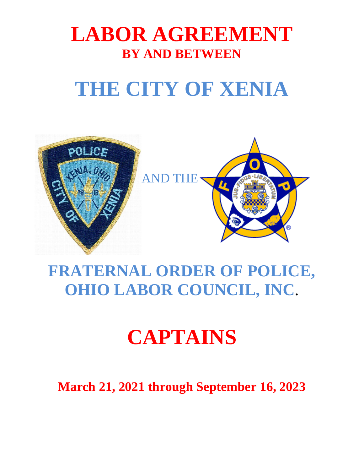# **LABOR AGREEMENT BY AND BETWEEN**

# **THE CITY OF XENIA**



# **FRATERNAL ORDER OF POLICE, OHIO LABOR COUNCIL, INC**.

# **CAPTAINS**

**March 21, 2021 through September 16, 2023**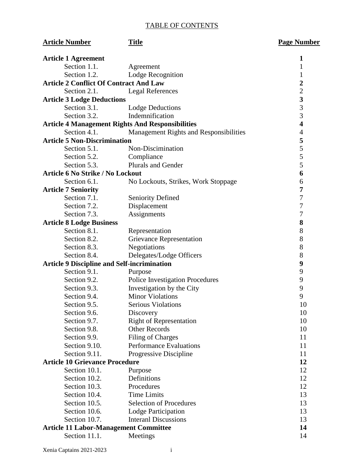# TABLE OF CONTENTS

| <b>Article Number</b>                              | <b>Title</b>                                            | <b>Page Number</b>      |
|----------------------------------------------------|---------------------------------------------------------|-------------------------|
| <b>Article 1 Agreement</b>                         |                                                         | $\mathbf 1$             |
| Section 1.1.                                       | Agreement                                               | 1                       |
| Section 1.2.                                       | Lodge Recognition                                       | $\mathbf{1}$            |
| <b>Article 2 Conflict Of Contract And Law</b>      |                                                         | $\overline{\mathbf{c}}$ |
| Section 2.1.                                       | <b>Legal References</b>                                 | $\overline{c}$          |
| <b>Article 3 Lodge Deductions</b>                  |                                                         | $\overline{\mathbf{3}}$ |
| Section 3.1.                                       | <b>Lodge Deductions</b>                                 | $\overline{3}$          |
| Section 3.2.                                       | Indemnification                                         | $\overline{3}$          |
|                                                    | <b>Article 4 Management Rights And Responsibilities</b> | $\overline{\mathbf{4}}$ |
| Section 4.1.                                       | Management Rights and Responsibilities                  | $\overline{4}$          |
| <b>Article 5 Non-Discrimination</b>                |                                                         | 5                       |
| Section 5.1.                                       | Non-Discimination                                       | 5                       |
| Section 5.2.                                       | Compliance                                              | 5                       |
| Section 5.3.                                       | <b>Plurals and Gender</b>                               | 5                       |
| <b>Article 6 No Strike / No Lockout</b>            |                                                         | 6                       |
| Section 6.1.                                       | No Lockouts, Strikes, Work Stoppage                     | 6                       |
| <b>Article 7 Seniority</b>                         |                                                         | 7                       |
| Section 7.1.                                       | <b>Seniority Defined</b>                                | 7                       |
| Section 7.2.                                       | Displacement                                            | 7                       |
| Section 7.3.                                       | Assignments                                             | 7                       |
| <b>Article 8 Lodge Business</b>                    |                                                         | 8                       |
| Section 8.1.                                       | Representation                                          | 8                       |
| Section 8.2.                                       | <b>Grievance Representation</b>                         | 8                       |
| Section 8.3.                                       | Negotiations                                            | 8                       |
| Section 8.4.                                       | Delegates/Lodge Officers                                | 8                       |
| <b>Article 9 Discipline and Self-incrimination</b> |                                                         | 9                       |
| Section 9.1.                                       | Purpose                                                 | 9                       |
| Section 9.2.                                       | <b>Police Investigation Procedures</b>                  | 9                       |
| Section 9.3.                                       | Investigation by the City                               | 9                       |
| Section 9.4.                                       | <b>Minor Violations</b>                                 | 9                       |
| Section 9.5.                                       | <b>Serious Violations</b>                               | 10                      |
| Section 9.6.                                       | Discovery                                               | 10                      |
| Section 9.7.                                       | <b>Right of Representation</b>                          | 10                      |
| Section 9.8.                                       | <b>Other Records</b>                                    | 10                      |
| Section 9.9.                                       | <b>Filing of Charges</b>                                | 11                      |
| Section 9.10.                                      | <b>Performance Evaluations</b>                          | 11                      |
| Section 9.11.                                      | Progressive Discipline                                  | 11                      |
| <b>Article 10 Grievance Procedure</b>              |                                                         | 12                      |
| Section 10.1.                                      | Purpose                                                 | 12                      |
| Section 10.2.                                      | Definitions                                             | 12                      |
| Section 10.3.                                      | Procedures                                              | 12                      |
| Section 10.4.                                      | <b>Time Limits</b>                                      | 13                      |
| Section 10.5.                                      | <b>Selection of Procedures</b>                          | 13                      |
| Section 10.6.                                      | Lodge Participation                                     | 13                      |
| Section 10.7.                                      | <b>Interanl Discussions</b>                             | 13                      |
| <b>Article 11 Labor-Management Committee</b>       |                                                         | 14                      |
| Section 11.1.                                      | Meetings                                                | 14                      |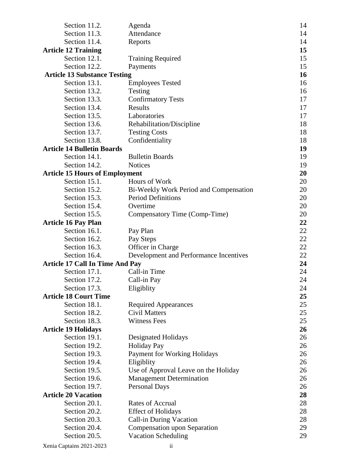| Section 11.2.                          | Agenda                                 | 14 |
|----------------------------------------|----------------------------------------|----|
| Section 11.3.                          | Attendance                             |    |
| Section 11.4.                          | Reports                                | 14 |
| <b>Article 12 Training</b>             |                                        | 15 |
| Section 12.1.                          | <b>Training Required</b>               | 15 |
| Section 12.2.                          | Payments                               | 15 |
| <b>Article 13 Substance Testing</b>    |                                        | 16 |
| Section 13.1.                          | <b>Employees Tested</b>                | 16 |
| Section 13.2.                          | Testing                                | 16 |
| Section 13.3.                          | <b>Confirmatory Tests</b>              | 17 |
| Section 13.4.                          | Results                                | 17 |
| Section 13.5.                          | Laboratories                           | 17 |
| Section 13.6.                          | Rehabilitation/Discipline              | 18 |
| Section 13.7.                          | <b>Testing Costs</b>                   | 18 |
| Section 13.8.                          | Confidentiality                        | 18 |
| <b>Article 14 Bulletin Boards</b>      |                                        | 19 |
| Section 14.1.                          | <b>Bulletin Boards</b>                 | 19 |
| Section 14.2.                          | <b>Notices</b>                         | 19 |
| <b>Article 15 Hours of Employment</b>  |                                        | 20 |
| Section 15.1.                          | Hours of Work                          | 20 |
| Section 15.2.                          | Bi-Weekly Work Period and Compensation | 20 |
| Section 15.3.                          | <b>Period Definitions</b>              | 20 |
| Section 15.4.                          | Overtime                               | 20 |
| Section 15.5.                          | Compensatory Time (Comp-Time)          | 20 |
| <b>Article 16 Pay Plan</b>             |                                        | 22 |
| Section 16.1.                          | Pay Plan                               | 22 |
| Section 16.2.                          | Pay Steps                              | 22 |
| Section 16.3.                          | Officer in Charge                      | 22 |
| Section 16.4.                          | Development and Performance Incentives | 22 |
| <b>Article 17 Call In Time And Pay</b> |                                        | 24 |
| Section 17.1.                          | Call-in Time                           | 24 |
| Section 17.2.                          | Call-in Pay                            | 24 |
| Section 17.3.                          | Eligiblity                             | 24 |
| <b>Article 18 Court Time</b>           |                                        | 25 |
| Section 18.1.                          | <b>Required Appearances</b>            | 25 |
| Section 18.2.                          | <b>Civil Matters</b>                   | 25 |
| Section 18.3.                          | <b>Witness Fees</b>                    | 25 |
| <b>Article 19 Holidays</b>             |                                        | 26 |
| Section 19.1.                          | Designated Holidays                    | 26 |
| Section 19.2.                          | <b>Holiday Pay</b>                     | 26 |
| Section 19.3.                          | <b>Payment for Working Holidays</b>    | 26 |
| Section 19.4.                          | Eligiblity                             | 26 |
| Section 19.5.                          | Use of Approval Leave on the Holiday   | 26 |
| Section 19.6.                          | <b>Management Determination</b>        | 26 |
| Section 19.7.                          | <b>Personal Days</b>                   | 26 |
| <b>Article 20 Vacation</b>             |                                        | 28 |
| Section 20.1.                          | <b>Rates of Accrual</b>                | 28 |
| Section 20.2.                          | <b>Effect of Holidays</b>              | 28 |
| Section 20.3.                          | Call-in During Vacation                | 28 |
| Section 20.4.                          | Compensation upon Separation           | 29 |
| Section 20.5.                          | <b>Vacation Scheduling</b>             | 29 |
|                                        |                                        |    |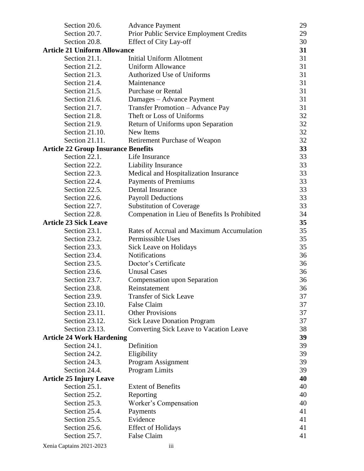| Section 20.6.                              | <b>Advance Payment</b>                         | 29 |
|--------------------------------------------|------------------------------------------------|----|
| Section 20.7.                              | Prior Public Service Employment Credits        | 29 |
| Section 20.8.                              | <b>Effect of City Lay-off</b>                  | 30 |
| <b>Article 21 Uniform Allowance</b>        |                                                | 31 |
| Section 21.1.                              | <b>Initial Uniform Allotment</b>               | 31 |
| Section 21.2.                              | <b>Uniform Allowance</b>                       | 31 |
| Section 21.3.                              | <b>Authorized Use of Uniforms</b>              | 31 |
| Section 21.4.                              | Maintenance                                    | 31 |
| Section 21.5.                              | <b>Purchase or Rental</b>                      | 31 |
| Section 21.6.                              | Damages - Advance Payment                      | 31 |
| Section 21.7.                              | Transfer Promotion - Advance Pay               | 31 |
| Section 21.8.                              | Theft or Loss of Uniforms                      | 32 |
| Section 21.9.                              | Return of Uniforms upon Separation             | 32 |
| Section 21.10.                             | New Items                                      | 32 |
| Section 21.11.                             | Retirement Purchase of Weapon                  | 32 |
| <b>Article 22 Group Insurance Benefits</b> |                                                | 33 |
| Section 22.1.                              | Life Insurance                                 | 33 |
| Section 22.2.                              | Liability Insurance                            | 33 |
| Section 22.3.                              | Medical and Hospitalization Insurance          | 33 |
| Section 22.4.                              | <b>Payments of Premiums</b>                    | 33 |
| Section 22.5.                              | Dental Insurance                               | 33 |
| Section 22.6.                              | <b>Payroll Deductions</b>                      | 33 |
| Section 22.7.                              | <b>Substitution of Coverage</b>                | 33 |
| Section 22.8.                              | Compenation in Lieu of Benefits Is Prohibited  | 34 |
| <b>Article 23 Sick Leave</b>               |                                                | 35 |
| Section 23.1.                              | Rates of Accrual and Maximum Accumulation      | 35 |
| Section 23.2.                              | Permisssible Uses                              | 35 |
| Section 23.3.                              | Sick Leave on Holidays                         | 35 |
| Section 23.4.                              | <b>Notifications</b>                           | 36 |
| Section 23.5.                              | Doctor's Certificate                           | 36 |
| Section 23.6.                              | <b>Unusal Cases</b>                            | 36 |
| Section 23.7.                              | Compensation upon Separation                   | 36 |
| Section 23.8.                              | Reinstatement                                  | 36 |
| Section 23.9.                              | <b>Transfer of Sick Leave</b>                  | 37 |
| Section 23.10.                             | <b>False Claim</b>                             | 37 |
| Section 23.11.                             | <b>Other Provisions</b>                        | 37 |
| Section 23.12.                             | <b>Sick Leave Donation Program</b>             | 37 |
| Section 23.13.                             | <b>Converting Sick Leave to Vacation Leave</b> | 38 |
| <b>Article 24 Work Hardening</b>           |                                                | 39 |
| Section 24.1.                              | Definition                                     | 39 |
| Section 24.2.                              | Eligibility                                    | 39 |
| Section 24.3.                              | Program Assignment                             | 39 |
| Section 24.4.                              | <b>Program Limits</b>                          | 39 |
| <b>Article 25 Injury Leave</b>             |                                                | 40 |
| Section 25.1.                              | <b>Extent of Benefits</b>                      | 40 |
| Section 25.2.                              | Reporting                                      | 40 |
| Section 25.3.                              | Worker's Compensation                          | 40 |
| Section 25.4.                              | Payments                                       | 41 |
| Section 25.5.                              | Evidence                                       | 41 |
| Section 25.6.                              | <b>Effect of Holidays</b>                      | 41 |
| Section 25.7.                              | False Claim                                    | 41 |
| Xenia Captains 2021-2023                   | iii                                            |    |
|                                            |                                                |    |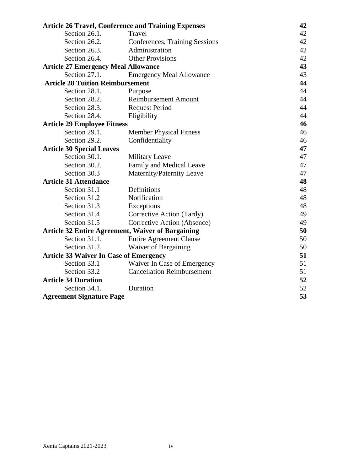| <b>Article 26 Travel, Conference and Training Expenses</b> |                                                          | 42       |
|------------------------------------------------------------|----------------------------------------------------------|----------|
| Section 26.1.                                              | Travel                                                   | 42       |
| Section 26.2.                                              | Conferences, Training Sessions                           | 42       |
| Section 26.3.                                              | Administration                                           | 42       |
| Section 26.4.                                              | <b>Other Provisions</b>                                  | 42       |
| <b>Article 27 Emergency Meal Allowance</b>                 |                                                          | 43       |
| Section 27.1.                                              | <b>Emergency Meal Allowance</b>                          | 43       |
| <b>Article 28 Tuition Reimbursement</b>                    |                                                          | 44       |
| Section 28.1.                                              | Purpose                                                  | 44       |
| Section 28.2.                                              | <b>Reimbursement Amount</b>                              | 44       |
| Section 28.3.                                              | <b>Request Period</b>                                    | 44       |
| Section 28.4.                                              | Eligibility                                              | 44       |
| <b>Article 29 Employee Fitness</b>                         |                                                          | 46       |
| Section 29.1.                                              | <b>Member Physical Fitness</b>                           | 46       |
| Section 29.2.                                              | Confidentiality                                          | 46       |
| <b>Article 30 Special Leaves</b>                           |                                                          | 47       |
| Section 30.1.                                              | <b>Military Leave</b>                                    | 47       |
| Section 30.2.                                              | Family and Medical Leave                                 | 47       |
| Section 30.3                                               | Maternity/Paternity Leave                                | 47       |
| <b>Article 31 Attendance</b>                               |                                                          | 48       |
| Section 31.1                                               | Definitions                                              | 48       |
| Section 31.2                                               | Notification                                             | 48       |
| Section 31.3                                               | Exceptions                                               | 48       |
| Section 31.4                                               | Corrective Action (Tardy)                                | 49       |
| Section 31.5                                               | Corrective Action (Absence)                              | 49       |
|                                                            | <b>Article 32 Entire Agreement, Waiver of Bargaining</b> | 50       |
| Section 31.1.                                              | <b>Entire Agreement Clause</b>                           | 50       |
| Section 31.2.                                              | Waiver of Bargaining                                     | 50       |
| <b>Article 33 Waiver In Case of Emergency</b>              |                                                          | 51       |
| Section 33.1                                               | Waiver In Case of Emergency                              | 51       |
| Section 33.2                                               | <b>Cancellation Reimbursement</b>                        | 51       |
| <b>Article 34 Duration</b>                                 |                                                          | 52       |
| Section 34.1.                                              | Duration                                                 | 52<br>53 |
|                                                            | <b>Agreement Signature Page</b>                          |          |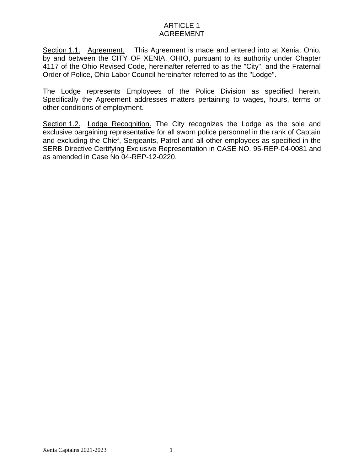# ARTICLE 1 AGREEMENT

Section 1.1. Agreement. This Agreement is made and entered into at Xenia, Ohio, by and between the CITY OF XENIA, OHIO, pursuant to its authority under Chapter 4117 of the Ohio Revised Code, hereinafter referred to as the "City", and the Fraternal Order of Police, Ohio Labor Council hereinafter referred to as the "Lodge".

The Lodge represents Employees of the Police Division as specified herein. Specifically the Agreement addresses matters pertaining to wages, hours, terms or other conditions of employment.

Section 1.2. Lodge Recognition. The City recognizes the Lodge as the sole and exclusive bargaining representative for all sworn police personnel in the rank of Captain and excluding the Chief, Sergeants, Patrol and all other employees as specified in the SERB Directive Certifying Exclusive Representation in CASE NO. 95-REP-04-0081 and as amended in Case No 04-REP-12-0220.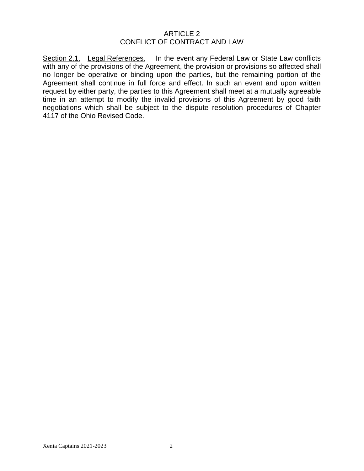#### ARTICLE 2 CONFLICT OF CONTRACT AND LAW

Section 2.1. Legal References. In the event any Federal Law or State Law conflicts with any of the provisions of the Agreement, the provision or provisions so affected shall no longer be operative or binding upon the parties, but the remaining portion of the Agreement shall continue in full force and effect. In such an event and upon written request by either party, the parties to this Agreement shall meet at a mutually agreeable time in an attempt to modify the invalid provisions of this Agreement by good faith negotiations which shall be subject to the dispute resolution procedures of Chapter 4117 of the Ohio Revised Code.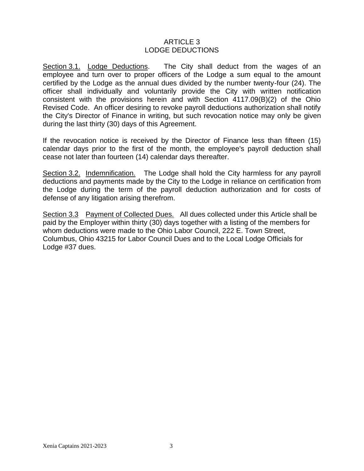### ARTICLE 3 LODGE DEDUCTIONS

Section 3.1. Lodge Deductions. The City shall deduct from the wages of an employee and turn over to proper officers of the Lodge a sum equal to the amount certified by the Lodge as the annual dues divided by the number twenty-four (24). The officer shall individually and voluntarily provide the City with written notification consistent with the provisions herein and with Section 4117.09(B)(2) of the Ohio Revised Code. An officer desiring to revoke payroll deductions authorization shall notify the City's Director of Finance in writing, but such revocation notice may only be given during the last thirty (30) days of this Agreement.

If the revocation notice is received by the Director of Finance less than fifteen (15) calendar days prior to the first of the month, the employee's payroll deduction shall cease not later than fourteen (14) calendar days thereafter.

Section 3.2. Indemnification. The Lodge shall hold the City harmless for any payroll deductions and payments made by the City to the Lodge in reliance on certification from the Lodge during the term of the payroll deduction authorization and for costs of defense of any litigation arising therefrom.

Section 3.3 Payment of Collected Dues. All dues collected under this Article shall be paid by the Employer within thirty (30) days together with a listing of the members for whom deductions were made to the Ohio Labor Council, 222 E. Town Street, Columbus, Ohio 43215 for Labor Council Dues and to the Local Lodge Officials for Lodge #37 dues.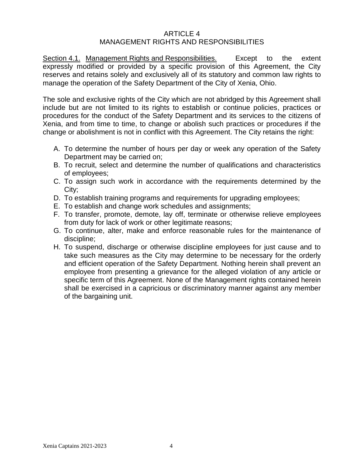#### ARTICLE 4 MANAGEMENT RIGHTS AND RESPONSIBILITIES

Section 4.1. Management Rights and Responsibilities. Except to the extent expressly modified or provided by a specific provision of this Agreement, the City reserves and retains solely and exclusively all of its statutory and common law rights to manage the operation of the Safety Department of the City of Xenia, Ohio.

The sole and exclusive rights of the City which are not abridged by this Agreement shall include but are not limited to its rights to establish or continue policies, practices or procedures for the conduct of the Safety Department and its services to the citizens of Xenia, and from time to time, to change or abolish such practices or procedures if the change or abolishment is not in conflict with this Agreement. The City retains the right:

- A. To determine the number of hours per day or week any operation of the Safety Department may be carried on;
- B. To recruit, select and determine the number of qualifications and characteristics of employees;
- C. To assign such work in accordance with the requirements determined by the City;
- D. To establish training programs and requirements for upgrading employees;
- E. To establish and change work schedules and assignments;
- F. To transfer, promote, demote, lay off, terminate or otherwise relieve employees from duty for lack of work or other legitimate reasons;
- G. To continue, alter, make and enforce reasonable rules for the maintenance of discipline;
- H. To suspend, discharge or otherwise discipline employees for just cause and to take such measures as the City may determine to be necessary for the orderly and efficient operation of the Safety Department. Nothing herein shall prevent an employee from presenting a grievance for the alleged violation of any article or specific term of this Agreement. None of the Management rights contained herein shall be exercised in a capricious or discriminatory manner against any member of the bargaining unit.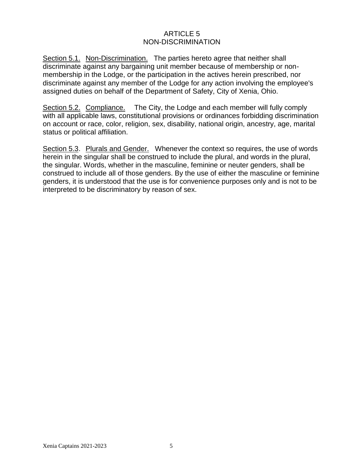# ARTICLE 5 NON-DISCRIMINATION

Section 5.1. Non-Discrimination. The parties hereto agree that neither shall discriminate against any bargaining unit member because of membership or nonmembership in the Lodge, or the participation in the actives herein prescribed, nor discriminate against any member of the Lodge for any action involving the employee's assigned duties on behalf of the Department of Safety, City of Xenia, Ohio.

Section 5.2. Compliance. The City, the Lodge and each member will fully comply with all applicable laws, constitutional provisions or ordinances forbidding discrimination on account or race, color, religion, sex, disability, national origin, ancestry, age, marital status or political affiliation.

Section 5.3. Plurals and Gender. Whenever the context so requires, the use of words herein in the singular shall be construed to include the plural, and words in the plural, the singular. Words, whether in the masculine, feminine or neuter genders, shall be construed to include all of those genders. By the use of either the masculine or feminine genders, it is understood that the use is for convenience purposes only and is not to be interpreted to be discriminatory by reason of sex.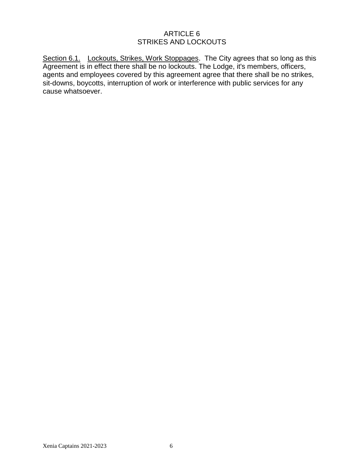# ARTICLE 6 STRIKES AND LOCKOUTS

Section 6.1. Lockouts, Strikes, Work Stoppages. The City agrees that so long as this Agreement is in effect there shall be no lockouts. The Lodge, it's members, officers, agents and employees covered by this agreement agree that there shall be no strikes, sit-downs, boycotts, interruption of work or interference with public services for any cause whatsoever.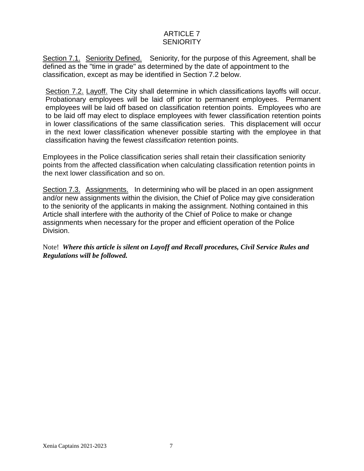# ARTICLE 7 **SENIORITY**

Section 7.1. Seniority Defined. Seniority, for the purpose of this Agreement, shall be defined as the "time in grade" as determined by the date of appointment to the classification, except as may be identified in Section 7.2 below.

Section 7.2. Layoff. The City shall determine in which classifications layoffs will occur. Probationary employees will be laid off prior to permanent employees. Permanent employees will be laid off based on classification retention points. Employees who are to be laid off may elect to displace employees with fewer classification retention points in lower classifications of the same classification series. This displacement will occur in the next lower classification whenever possible starting with the employee in that classification having the fewest *classification* retention points.

Employees in the Police classification series shall retain their classification seniority points from the affected classification when calculating classification retention points in the next lower classification and so on.

Section 7.3. Assignments. In determining who will be placed in an open assignment and/or new assignments within the division, the Chief of Police may give consideration to the seniority of the applicants in making the assignment. Nothing contained in this Article shall interfere with the authority of the Chief of Police to make or change assignments when necessary for the proper and efficient operation of the Police Division.

Note! *Where this article is silent on Layoff and Recall procedures, Civil Service Rules and Regulations will be followed.*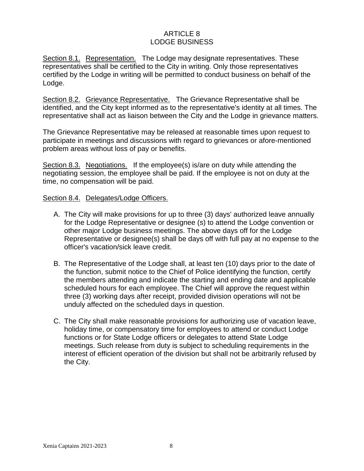# ARTICLE 8 LODGE BUSINESS

Section 8.1. Representation. The Lodge may designate representatives. These representatives shall be certified to the City in writing. Only those representatives certified by the Lodge in writing will be permitted to conduct business on behalf of the Lodge.

Section 8.2. Grievance Representative. The Grievance Representative shall be identified, and the City kept informed as to the representative's identity at all times. The representative shall act as liaison between the City and the Lodge in grievance matters.

The Grievance Representative may be released at reasonable times upon request to participate in meetings and discussions with regard to grievances or afore-mentioned problem areas without loss of pay or benefits.

Section 8.3. Negotiations. If the employee(s) is/are on duty while attending the negotiating session, the employee shall be paid. If the employee is not on duty at the time, no compensation will be paid.

#### Section 8.4. Delegates/Lodge Officers.

- A. The City will make provisions for up to three (3) days' authorized leave annually for the Lodge Representative or designee (s) to attend the Lodge convention or other major Lodge business meetings. The above days off for the Lodge Representative or designee(s) shall be days off with full pay at no expense to the officer's vacation/sick leave credit.
- B. The Representative of the Lodge shall, at least ten (10) days prior to the date of the function, submit notice to the Chief of Police identifying the function, certify the members attending and indicate the starting and ending date and applicable scheduled hours for each employee. The Chief will approve the request within three (3) working days after receipt, provided division operations will not be unduly affected on the scheduled days in question.
- C. The City shall make reasonable provisions for authorizing use of vacation leave, holiday time, or compensatory time for employees to attend or conduct Lodge functions or for State Lodge officers or delegates to attend State Lodge meetings. Such release from duty is subject to scheduling requirements in the interest of efficient operation of the division but shall not be arbitrarily refused by the City.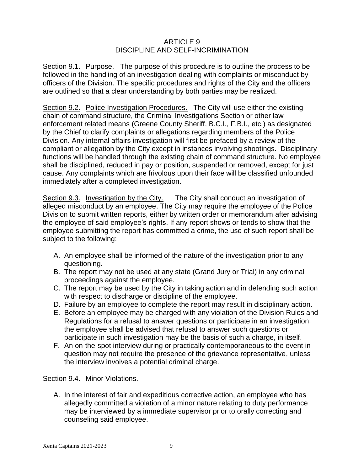## ARTICLE 9 DISCIPLINE AND SELF-INCRIMINATION

Section 9.1. Purpose. The purpose of this procedure is to outline the process to be followed in the handling of an investigation dealing with complaints or misconduct by officers of the Division. The specific procedures and rights of the City and the officers are outlined so that a clear understanding by both parties may be realized.

Section 9.2. Police Investigation Procedures. The City will use either the existing chain of command structure, the Criminal Investigations Section or other law enforcement related means (Greene County Sheriff, B.C.I., F.B.I., etc.) as designated by the Chief to clarify complaints or allegations regarding members of the Police Division. Any internal affairs investigation will first be prefaced by a review of the compliant or allegation by the City except in instances involving shootings. Disciplinary functions will be handled through the existing chain of command structure. No employee shall be disciplined, reduced in pay or position, suspended or removed, except for just cause. Any complaints which are frivolous upon their face will be classified unfounded immediately after a completed investigation.

Section 9.3. Investigation by the City. The City shall conduct an investigation of alleged misconduct by an employee. The City may require the employee of the Police Division to submit written reports, either by written order or memorandum after advising the employee of said employee's rights. If any report shows or tends to show that the employee submitting the report has committed a crime, the use of such report shall be subject to the following:

- A. An employee shall be informed of the nature of the investigation prior to any questioning.
- B. The report may not be used at any state (Grand Jury or Trial) in any criminal proceedings against the employee.
- C. The report may be used by the City in taking action and in defending such action with respect to discharge or discipline of the employee.
- D. Failure by an employee to complete the report may result in disciplinary action.
- E. Before an employee may be charged with any violation of the Division Rules and Regulations for a refusal to answer questions or participate in an investigation, the employee shall be advised that refusal to answer such questions or participate in such investigation may be the basis of such a charge, in itself.
- F. An on-the-spot interview during or practically contemporaneous to the event in question may not require the presence of the grievance representative, unless the interview involves a potential criminal charge.

### Section 9.4. Minor Violations.

A. In the interest of fair and expeditious corrective action, an employee who has allegedly committed a violation of a minor nature relating to duty performance may be interviewed by a immediate supervisor prior to orally correcting and counseling said employee.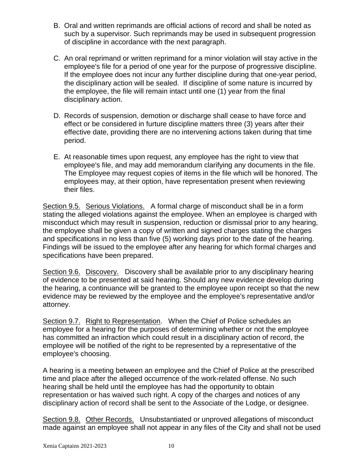- B. Oral and written reprimands are official actions of record and shall be noted as such by a supervisor. Such reprimands may be used in subsequent progression of discipline in accordance with the next paragraph.
- C. An oral reprimand or written reprimand for a minor violation will stay active in the employee's file for a period of one year for the purpose of progressive discipline. If the employee does not incur any further discipline during that one-year period, the disciplinary action will be sealed. If discipline of some nature is incurred by the employee, the file will remain intact until one (1) year from the final disciplinary action.
- D. Records of suspension, demotion or discharge shall cease to have force and effect or be considered in furture discipline matters three (3) years after their effective date, providing there are no intervening actions taken during that time period.
- E. At reasonable times upon request, any employee has the right to view that employee's file, and may add memorandum clarifying any documents in the file. The Employee may request copies of items in the file which will be honored. The employees may, at their option, have representation present when reviewing their files.

Section 9.5. Serious Violations. A formal charge of misconduct shall be in a form stating the alleged violations against the employee. When an employee is charged with misconduct which may result in suspension, reduction or dismissal prior to any hearing, the employee shall be given a copy of written and signed charges stating the charges and specifications in no less than five (5) working days prior to the date of the hearing. Findings will be issued to the employee after any hearing for which formal charges and specifications have been prepared.

Section 9.6. Discovery. Discovery shall be available prior to any disciplinary hearing of evidence to be presented at said hearing. Should any new evidence develop during the hearing, a continuance will be granted to the employee upon receipt so that the new evidence may be reviewed by the employee and the employee's representative and/or attorney.

Section 9.7. Right to Representation. When the Chief of Police schedules an employee for a hearing for the purposes of determining whether or not the employee has committed an infraction which could result in a disciplinary action of record, the employee will be notified of the right to be represented by a representative of the employee's choosing.

A hearing is a meeting between an employee and the Chief of Police at the prescribed time and place after the alleged occurrence of the work-related offense. No such hearing shall be held until the employee has had the opportunity to obtain representation or has waived such right. A copy of the charges and notices of any disciplinary action of record shall be sent to the Associate of the Lodge, or designee.

Section 9.8. Other Records. Unsubstantiated or unproved allegations of misconduct made against an employee shall not appear in any files of the City and shall not be used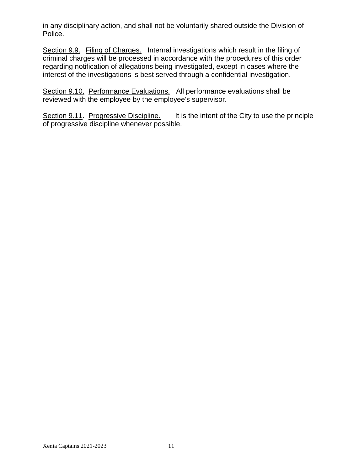in any disciplinary action, and shall not be voluntarily shared outside the Division of Police.

Section 9.9. Filing of Charges. Internal investigations which result in the filing of criminal charges will be processed in accordance with the procedures of this order regarding notification of allegations being investigated, except in cases where the interest of the investigations is best served through a confidential investigation.

Section 9.10. Performance Evaluations. All performance evaluations shall be reviewed with the employee by the employee's supervisor.

Section 9.11. Progressive Discipline. It is the intent of the City to use the principle of progressive discipline whenever possible.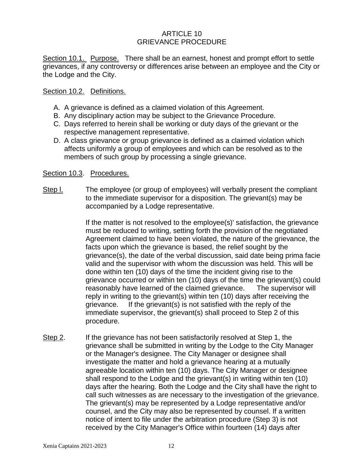### ARTICLE 10 GRIEVANCE PROCEDURE

Section 10.1. Purpose. There shall be an earnest, honest and prompt effort to settle grievances, if any controversy or differences arise between an employee and the City or the Lodge and the City.

#### Section 10.2. Definitions.

- A. A grievance is defined as a claimed violation of this Agreement.
- B. Any disciplinary action may be subject to the Grievance Procedure.
- C. Days referred to herein shall be working or duty days of the grievant or the respective management representative.
- D. A class grievance or group grievance is defined as a claimed violation which affects uniformly a group of employees and which can be resolved as to the members of such group by processing a single grievance.

#### Section 10.3. Procedures.

Step l. The employee (or group of employees) will verbally present the compliant to the immediate supervisor for a disposition. The grievant(s) may be accompanied by a Lodge representative.

> If the matter is not resolved to the employee(s)' satisfaction, the grievance must be reduced to writing, setting forth the provision of the negotiated Agreement claimed to have been violated, the nature of the grievance, the facts upon which the grievance is based, the relief sought by the grievance(s), the date of the verbal discussion, said date being prima facie valid and the supervisor with whom the discussion was held. This will be done within ten (10) days of the time the incident giving rise to the grievance occurred or within ten (10) days of the time the grievant(s) could reasonably have learned of the claimed grievance. The supervisor will reply in writing to the grievant(s) within ten (10) days after receiving the grievance. If the grievant(s) is not satisfied with the reply of the immediate supervisor, the grievant(s) shall proceed to Step 2 of this procedure.

Step 2. If the grievance has not been satisfactorily resolved at Step 1, the grievance shall be submitted in writing by the Lodge to the City Manager or the Manager's designee. The City Manager or designee shall investigate the matter and hold a grievance hearing at a mutually agreeable location within ten (10) days. The City Manager or designee shall respond to the Lodge and the grievant(s) in writing within ten (10) days after the hearing. Both the Lodge and the City shall have the right to call such witnesses as are necessary to the investigation of the grievance. The grievant(s) may be represented by a Lodge representative and/or counsel, and the City may also be represented by counsel. If a written notice of intent to file under the arbitration procedure (Step 3) is not received by the City Manager's Office within fourteen (14) days after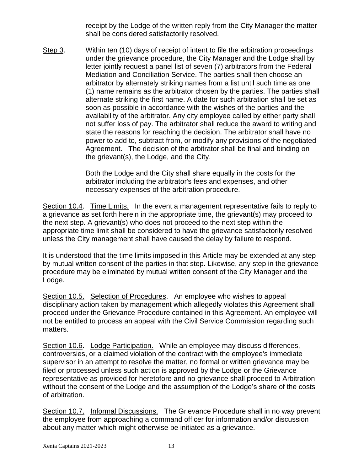receipt by the Lodge of the written reply from the City Manager the matter shall be considered satisfactorily resolved.

Step 3. Within ten (10) days of receipt of intent to file the arbitration proceedings under the grievance procedure, the City Manager and the Lodge shall by letter jointly request a panel list of seven (7) arbitrators from the Federal Mediation and Conciliation Service. The parties shall then choose an arbitrator by alternately striking names from a list until such time as one (1) name remains as the arbitrator chosen by the parties. The parties shall alternate striking the first name. A date for such arbitration shall be set as soon as possible in accordance with the wishes of the parties and the availability of the arbitrator. Any city employee called by either party shall not suffer loss of pay. The arbitrator shall reduce the award to writing and state the reasons for reaching the decision. The arbitrator shall have no power to add to, subtract from, or modify any provisions of the negotiated Agreement. The decision of the arbitrator shall be final and binding on the grievant(s), the Lodge, and the City.

> Both the Lodge and the City shall share equally in the costs for the arbitrator including the arbitrator's fees and expenses, and other necessary expenses of the arbitration procedure.

Section 10.4. Time Limits. In the event a management representative fails to reply to a grievance as set forth herein in the appropriate time, the grievant(s) may proceed to the next step. A grievant(s) who does not proceed to the next step within the appropriate time limit shall be considered to have the grievance satisfactorily resolved unless the City management shall have caused the delay by failure to respond.

It is understood that the time limits imposed in this Article may be extended at any step by mutual written consent of the parties in that step. Likewise, any step in the grievance procedure may be eliminated by mutual written consent of the City Manager and the Lodge.

Section 10.5. Selection of Procedures. An employee who wishes to appeal disciplinary action taken by management which allegedly violates this Agreement shall proceed under the Grievance Procedure contained in this Agreement. An employee will not be entitled to process an appeal with the Civil Service Commission regarding such matters.

Section 10.6. Lodge Participation. While an employee may discuss differences, controversies, or a claimed violation of the contract with the employee's immediate supervisor in an attempt to resolve the matter, no formal or written grievance may be filed or processed unless such action is approved by the Lodge or the Grievance representative as provided for heretofore and no grievance shall proceed to Arbitration without the consent of the Lodge and the assumption of the Lodge's share of the costs of arbitration.

Section 10.7. Informal Discussions. The Grievance Procedure shall in no way prevent the employee from approaching a command officer for information and/or discussion about any matter which might otherwise be initiated as a grievance.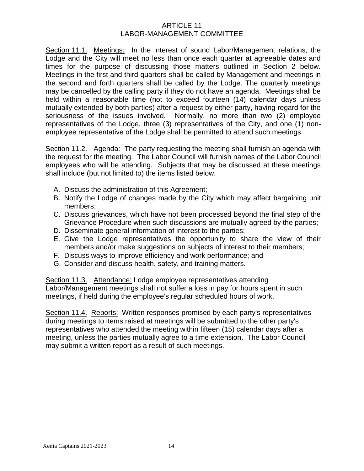### ARTICLE 11 LABOR-MANAGEMENT COMMITTEE

Section 11.1. Meetings: In the interest of sound Labor/Management relations, the Lodge and the City will meet no less than once each quarter at agreeable dates and times for the purpose of discussing those matters outlined in Section 2 below. Meetings in the first and third quarters shall be called by Management and meetings in the second and forth quarters shall be called by the Lodge. The quarterly meetings may be cancelled by the calling party if they do not have an agenda. Meetings shall be held within a reasonable time (not to exceed fourteen (14) calendar days unless mutually extended by both parties) after a request by either party, having regard for the seriousness of the issues involved. Normally, no more than two (2) employee representatives of the Lodge, three (3) representatives of the City, and one (1) nonemployee representative of the Lodge shall be permitted to attend such meetings.

Section 11.2. Agenda: The party requesting the meeting shall furnish an agenda with the request for the meeting. The Labor Council will furnish names of the Labor Council employees who will be attending. Subjects that may be discussed at these meetings shall include (but not limited to) the items listed below.

- A. Discuss the administration of this Agreement;
- B. Notify the Lodge of changes made by the City which may affect bargaining unit members;
- C. Discuss grievances, which have not been processed beyond the final step of the Grievance Procedure when such discussions are mutually agreed by the parties;
- D. Disseminate general information of interest to the parties;
- E. Give the Lodge representatives the opportunity to share the view of their members and/or make suggestions on subjects of interest to their members;
- F. Discuss ways to improve efficiency and work performance; and
- G. Consider and discuss health, safety, and training matters.

Section 11.3. Attendance: Lodge employee representatives attending Labor/Management meetings shall not suffer a loss in pay for hours spent in such meetings, if held during the employee's regular scheduled hours of work.

Section 11.4. Reports: Written responses promised by each party's representatives during meetings to items raised at meetings will be submitted to the other party's representatives who attended the meeting within fifteen (15) calendar days after a meeting, unless the parties mutually agree to a time extension. The Labor Council may submit a written report as a result of such meetings.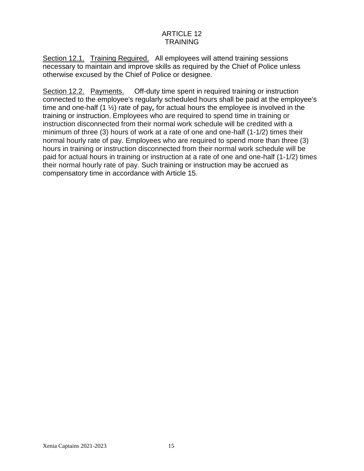# ARTICLE 12 **TRAINING**

Section 12.1. Training Reguired. All employees will attend training sessions necessary to maintain and improve skills as required by the Chief of Police unless otherwise excused by the Chief of Police or designee.

Section 12.2. Payments. Off-duty time spent in required training or instruction connected to the employee's regularly scheduled hours shall be paid at the employee's time and one-half (1 ½) rate of pay*,* for actual hours the employee is involved in the training or instruction. Employees who are required to spend time in training or instruction disconnected from their normal work schedule will be credited with a minimum of three (3) hours of work at a rate of one and one-half (1-1/2) times their normal hourly rate of pay. Employees who are required to spend more than three (3) hours in training or instruction disconnected from their normal work schedule will be paid for actual hours in training or instruction at a rate of one and one-half (1-1/2) times their normal hourly rate of pay. Such training or instruction may be accrued as compensatory time in accordance with Article 15.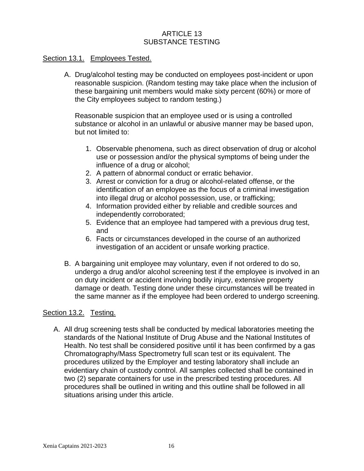# ARTICLE 13 SUBSTANCE TESTING

#### Section 13.1. Employees Tested.

A. Drug/alcohol testing may be conducted on employees post-incident or upon reasonable suspicion. (Random testing may take place when the inclusion of these bargaining unit members would make sixty percent (60%) or more of the City employees subject to random testing.)

Reasonable suspicion that an employee used or is using a controlled substance or alcohol in an unlawful or abusive manner may be based upon, but not limited to:

- 1. Observable phenomena, such as direct observation of drug or alcohol use or possession and/or the physical symptoms of being under the influence of a drug or alcohol;
- 2. A pattern of abnormal conduct or erratic behavior.
- 3. Arrest or conviction for a drug or alcohol-related offense, or the identification of an employee as the focus of a criminal investigation into illegal drug or alcohol possession, use, or trafficking;
- 4. Information provided either by reliable and credible sources and independently corroborated;
- 5. Evidence that an employee had tampered with a previous drug test, and
- 6. Facts or circumstances developed in the course of an authorized investigation of an accident or unsafe working practice.
- B. A bargaining unit employee may voluntary, even if not ordered to do so, undergo a drug and/or alcohol screening test if the employee is involved in an on duty incident or accident involving bodily injury, extensive property damage or death. Testing done under these circumstances will be treated in the same manner as if the employee had been ordered to undergo screening.

#### Section 13.2. Testing.

A. All drug screening tests shall be conducted by medical laboratories meeting the standards of the National Institute of Drug Abuse and the National Institutes of Health. No test shall be considered positive until it has been confirmed by a gas Chromatography/Mass Spectrometry full scan test or its equivalent. The procedures utilized by the Employer and testing laboratory shall include an evidentiary chain of custody control. All samples collected shall be contained in two (2) separate containers for use in the prescribed testing procedures. All procedures shall be outlined in writing and this outline shall be followed in all situations arising under this article.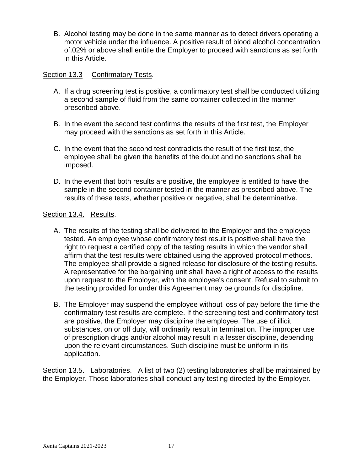B. Alcohol testing may be done in the same manner as to detect drivers operating a motor vehicle under the influence. A positive result of blood alcohol concentration of.02% or above shall entitle the Employer to proceed with sanctions as set forth in this Article.

# Section 13.3 Confirmatory Tests.

- A. If a drug screening test is positive, a confirmatory test shall be conducted utilizing a second sample of fluid from the same container collected in the manner prescribed above.
- B. In the event the second test confirms the results of the first test, the Employer may proceed with the sanctions as set forth in this Article.
- C. In the event that the second test contradicts the result of the first test, the employee shall be given the benefits of the doubt and no sanctions shall be imposed.
- D. In the event that both results are positive, the employee is entitled to have the sample in the second container tested in the manner as prescribed above. The results of these tests, whether positive or negative, shall be determinative.

#### Section 13.4. Results.

- A. The results of the testing shall be delivered to the Employer and the employee tested. An employee whose confirmatory test result is positive shall have the right to request a certified copy of the testing results in which the vendor shall affirm that the test results were obtained using the approved protocol methods. The employee shall provide a signed release for disclosure of the testing results. A representative for the bargaining unit shall have a right of access to the results upon request to the Employer, with the employee's consent. Refusal to submit to the testing provided for under this Agreement may be grounds for discipline.
- B. The Employer may suspend the employee without loss of pay before the time the confirmatory test results are complete. If the screening test and confirrnatory test are positive, the Employer may discipline the employee. The use of illicit substances, on or off duty, will ordinarily result in termination. The improper use of prescription drugs and/or alcohol may result in a lesser discipline, depending upon the relevant circumstances. Such discipline must be uniform in its application.

Section 13.5. Laboratories. A list of two (2) testing laboratories shall be maintained by the Employer. Those laboratories shall conduct any testing directed by the Employer.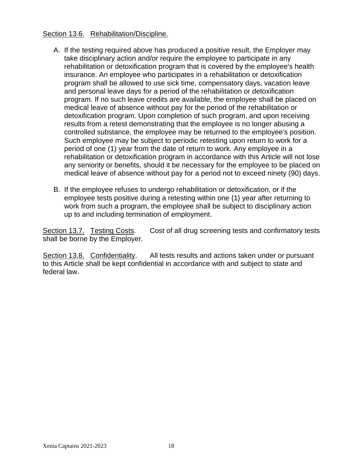### Section 13.6. Rehabilitation/Discipline.

- A. If the testing required above has produced a positive result, the Employer may take disciplinary action and/or require the employee to participate in any rehabilitation or detoxification program that is covered by the employee's health insurance. An employee who participates in a rehabilitation or detoxification program shall be allowed to use sick time, compensatory days, vacation leave and personal leave days for a period of the rehabilitation or detoxification program. If no such leave credits are available, the employee shall be placed on medical leave of absence without pay for the period of the rehabilitation or detoxification program. Upon completion of such program, and upon receiving results from a retest demonstrating that the employee is no longer abusing a controlled substance, the employee may be returned to the employee's position. Such employee may be subject to periodic retesting upon return to work for a period of one (1) year from the date of return to work. Any employee in a rehabilitation or detoxification program in accordance with this Article will not lose any seniority or benefits, should it be necessary for the employee to be placed on medical leave of absence without pay for a period not to exceed ninety (90) days.
- B. If the employee refuses to undergo rehabilitation or detoxification, or if the employee tests positive during a retesting within one {1} year after returning to work from such a program, the employee shall be subject to disciplinary action up to and including termination of employment.

Section 13.7. Testing Costs. Cost of all drug screening tests and confirmatory tests shall be borne by the Employer.

Section 13.8. Confidentiality. All tests results and actions taken under or pursuant to this Article shall be kept confidential in accordance with and subject to state and federal law.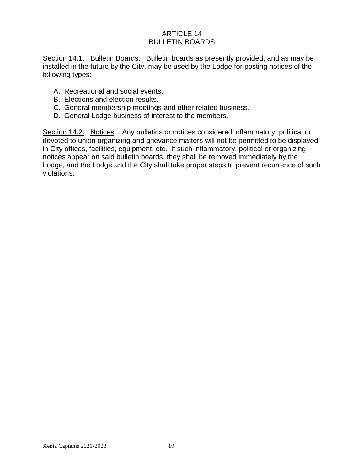# ARTICLE 14 BULLETIN BOARDS

Section 14.1. Bulletin Boards. Bulletin boards as presently provided, and as may be installed in the future by the City, may be used by the Lodge for posting notices of the following types:

- A. Recreational and social events.
- B. Elections and election results.
- C. General membership meetings and other related business.
- D. General Lodge business of interest to the members.

Section 14.2. Notices. Any bulletins or notices considered inflammatory, political or devoted to union organizing and grievance matters will not be permitted to be displayed in City offices, facilities, equipment, etc. If such inflammatory, political or organizing notices appear on said bulletin boards, they shall be removed immediately by the Lodge, and the Lodge and the City shall take proper steps to prevent recurrence of such violations.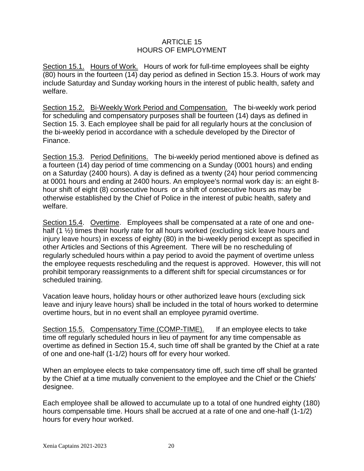# ARTICLE 15 HOURS OF EMPLOYMENT

Section 15.1. Hours of Work. Hours of work for full-time employees shall be eighty (80) hours in the fourteen (14) day period as defined in Section 15.3. Hours of work may include Saturday and Sunday working hours in the interest of public health, safety and welfare.

Section 15.2. Bi-Weekly Work Period and Compensation. The bi-weekly work period for scheduling and compensatory purposes shall be fourteen (14) days as defined in Section 15. 3. Each employee shall be paid for all regularly hours at the conclusion of the bi-weekly period in accordance with a schedule developed by the Director of Finance.

Section 15.3. Period Definitions. The bi-weekly period mentioned above is defined as a fourteen (14) day period of time commencing on a Sunday (0001 hours) and ending on a Saturday (2400 hours). A day is defined as a twenty (24) hour period commencing at 0001 hours and ending at 2400 hours. An employee's normal work day is: an eight 8 hour shift of eight (8) consecutive hours or a shift of consecutive hours as may be otherwise established by the Chief of Police in the interest of pubic health, safety and welfare.

Section 15.4. Overtime. Employees shall be compensated at a rate of one and onehalf (1  $\frac{1}{2}$ ) times their hourly rate for all hours worked (excluding sick leave hours and injury leave hours) in excess of eighty (80) in the bi-weekly period except as specified in other Articles and Sections of this Agreement. There will be no rescheduling of regularly scheduled hours within a pay period to avoid the payment of overtime unless the employee requests rescheduling and the request is approved. However, this will not prohibit temporary reassignments to a different shift for special circumstances or for scheduled training.

Vacation leave hours, holiday hours or other authorized leave hours (excluding sick leave and injury leave hours) shall be included in the total of hours worked to determine overtime hours, but in no event shall an employee pyramid overtime.

Section 15.5. Compensatory Time (COMP-TIME). If an employee elects to take time off regularly scheduled hours in lieu of payment for any time compensable as overtime as defined in Section 15.4, such time off shall be granted by the Chief at a rate of one and one-half (1-1/2) hours off for every hour worked.

When an employee elects to take compensatory time off, such time off shall be granted by the Chief at a time mutually convenient to the employee and the Chief or the Chiefs' designee.

Each employee shall be allowed to accumulate up to a total of one hundred eighty (180) hours compensable time. Hours shall be accrued at a rate of one and one-half (1-1/2) hours for every hour worked.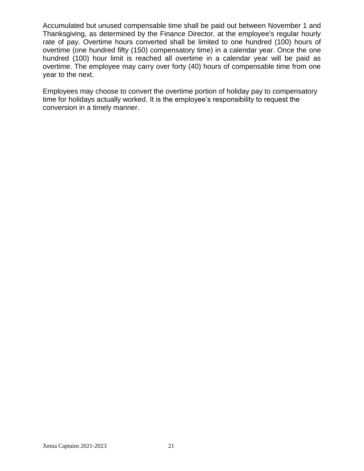Accumulated but unused compensable time shall be paid out between November 1 and Thanksgiving, as determined by the Finance Director, at the employee's regular hourly rate of pay. Overtime hours converted shall be limited to one hundred (100) hours of overtime (one hundred fifty (150) compensatory time) in a calendar year. Once the one hundred (100) hour limit is reached all overtime in a calendar year will be paid as overtime. The employee may carry over forty (40) hours of compensable time from one year to the next.

Employees may choose to convert the overtime portion of holiday pay to compensatory time for holidays actually worked. It is the employee's responsibility to request the conversion in a timely manner.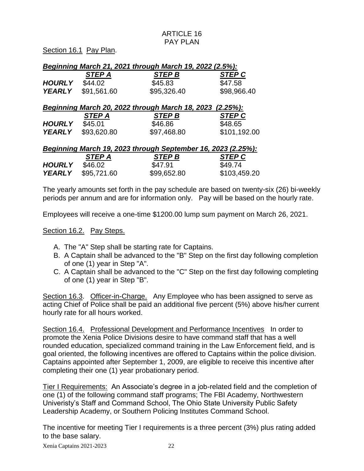Section 16.1 Pay Plan.

| Beginning March 21, 2021 through March 19, 2022 (2.5%): |               |               |               |
|---------------------------------------------------------|---------------|---------------|---------------|
|                                                         | <b>STEP A</b> | <b>STEP B</b> | <b>STEP C</b> |
| <b>HOURLY</b>                                           | \$44.02       | \$45.83       | \$47.58       |
| <b>YEARLY</b>                                           | \$91,561.60   | \$95,326.40   | \$98,966.40   |

# *Beginning March 20, 2022 through March 18, 2023 (2.25%):*

|               | <b>STEP A</b>             | <b>STEP B</b> | <b>STEP C</b> |
|---------------|---------------------------|---------------|---------------|
| <b>HOURLY</b> | \$45.01                   | \$46.86       | \$48.65       |
|               | <b>YEARLY</b> \$93,620.80 | \$97,468.80   | \$101,192.00  |

| Beginning March 19, 2023 through September 16, 2023 (2.25%): |               |               |              |  |
|--------------------------------------------------------------|---------------|---------------|--------------|--|
|                                                              | <b>STEP A</b> | <b>STEP B</b> | STEP C       |  |
| <b>HOURLY</b>                                                | \$46.02       | \$47.91       | \$49.74      |  |
| <b>YEARLY</b>                                                | \$95,721.60   | \$99,652.80   | \$103,459.20 |  |

The yearly amounts set forth in the pay schedule are based on twenty-six (26) bi-weekly periods per annum and are for information only. Pay will be based on the hourly rate.

Employees will receive a one-time \$1200.00 lump sum payment on March 26, 2021.

Section 16.2. Pay Steps.

- A. The "A" Step shall be starting rate for Captains.
- B. A Captain shall be advanced to the "B" Step on the first day following completion of one (1) year in Step "A".
- C. A Captain shall be advanced to the "C" Step on the first day following completing of one (1) year in Step "B".

Section 16.3. Officer-in-Charge. Any Employee who has been assigned to serve as acting Chief of Police shall be paid an additional five percent (5%) above his/her current hourly rate for all hours worked.

Section 16.4. Professional Development and Performance Incentives In order to promote the Xenia Police Divisions desire to have command staff that has a well rounded education, specialized command training in the Law Enforcement field, and is goal oriented, the following incentives are offered to Captains within the police division. Captains appointed after September 1, 2009, are eligible to receive this incentive after completing their one (1) year probationary period.

Tier I Requirements: An Associate's degree in a job-related field and the completion of one (1) of the following command staff programs; The FBI Academy, Northwestern Univeristy's Staff and Command School, The Ohio State University Public Safety Leadership Academy, or Southern Policing Institutes Command School.

The incentive for meeting Tier I requirements is a three percent (3%) plus rating added to the base salary.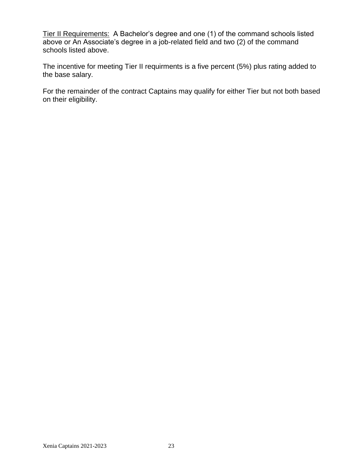Tier II Requirements: A Bachelor's degree and one (1) of the command schools listed above or An Associate's degree in a job-related field and two (2) of the command schools listed above.

The incentive for meeting Tier II requirments is a five percent (5%) plus rating added to the base salary.

For the remainder of the contract Captains may qualify for either Tier but not both based on their eligibility.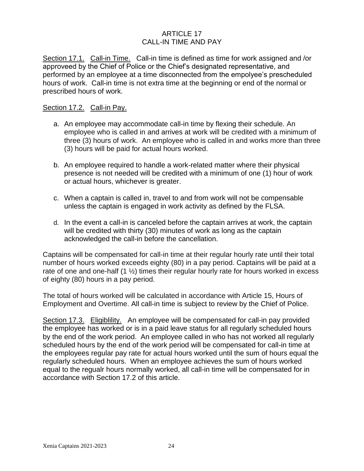# ARTICLE 17 CALL-IN TIME AND PAY

Section 17.1. Call-in Time. Call-in time is defined as time for work assigned and /or approveed by the Chief of Police or the Chief's designated representative, and performed by an employee at a time disconnected from the empolyee's prescheduled hours of work. Call-in time is not extra time at the beginning or end of the normal or prescribed hours of work.

#### Section 17.2. Call-in Pay.

- a. An employee may accommodate call-in time by flexing their schedule. An employee who is called in and arrives at work will be credited with a minimum of three (3) hours of work. An employee who is called in and works more than three (3) hours will be paid for actual hours worked.
- b. An employee required to handle a work-related matter where their physical presence is not needed will be credited with a minimum of one (1) hour of work or actual hours, whichever is greater.
- c. When a captain is called in, travel to and from work will not be compensable unless the captain is engaged in work activity as defined by the FLSA.
- d. In the event a call-in is canceled before the captain arrives at work, the captain will be credited with thirty (30) minutes of work as long as the captain acknowledged the call-in before the cancellation.

Captains will be compensated for call-in time at their regular hourly rate until their total number of hours worked exceeds eighty (80) in a pay period. Captains will be paid at a rate of one and one-half  $(1 \frac{1}{2})$  times their regular hourly rate for hours worked in excess of eighty (80) hours in a pay period.

The total of hours worked will be calculated in accordance with Article 15, Hours of Employment and Overtime. All call-in time is subject to review by the Chief of Police.

Section 17.3. Eligiblility. An employee will be compensated for call-in pay provided the employee has worked or is in a paid leave status for all regularly scheduled hours by the end of the work period. An employee called in who has not worked all regularly scheduled hours by the end of the work period will be compensated for call-in time at the employees regular pay rate for actual hours worked until the sum of hours equal the regularly scheduled hours. When an employee achieves the sum of hours worked equal to the regualr hours normally worked, all call-in time will be compensated for in accordance with Section 17.2 of this article.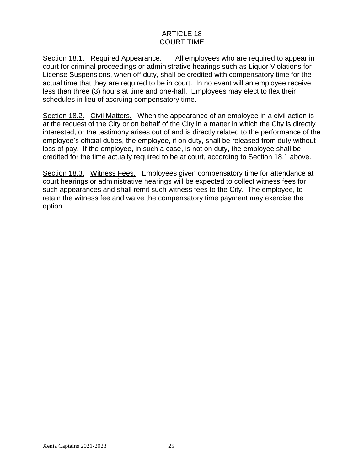# ARTICLE 18 COURT TIME

Section 18.1. Required Appearance. All employees who are required to appear in court for criminal proceedings or administrative hearings such as Liquor Violations for License Suspensions, when off duty, shall be credited with compensatory time for the actual time that they are required to be in court. In no event will an employee receive less than three (3) hours at time and one-half. Employees may elect to flex their schedules in lieu of accruing compensatory time.

Section 18.2. Civil Matters. When the appearance of an employee in a civil action is at the request of the City or on behalf of the City in a matter in which the City is directly interested, or the testimony arises out of and is directly related to the performance of the employee's official duties, the employee, if on duty, shall be released from duty without loss of pay. If the employee, in such a case, is not on duty, the employee shall be credited for the time actually required to be at court, according to Section 18.1 above.

Section 18.3. Witness Fees. Employees given compensatory time for attendance at court hearings or administrative hearings will be expected to collect witness fees for such appearances and shall remit such witness fees to the City. The employee, to retain the witness fee and waive the compensatory time payment may exercise the option.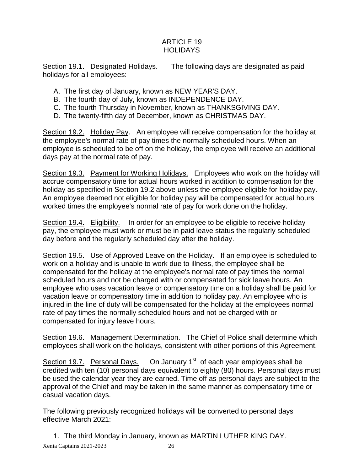# ARTICLE 19 **HOLIDAYS**

Section 19.1. Designated Holidays. The following days are designated as paid holidays for all employees:

- A. The first day of January, known as NEW YEAR'S DAY.
- B. The fourth day of July, known as INDEPENDENCE DAY.
- C. The fourth Thursday in November, known as THANKSGIVING DAY.
- D. The twenty-fifth day of December, known as CHRISTMAS DAY.

Section 19.2. Holiday Pay. An employee will receive compensation for the holiday at the employee's normal rate of pay times the normally scheduled hours. When an employee is scheduled to be off on the holiday, the employee will receive an additional days pay at the normal rate of pay.

Section 19.3. Payment for Working Holidays. Employees who work on the holiday will accrue compensatory time for actual hours worked in addition to compensation for the holiday as specified in Section 19.2 above unless the employee eligible for holiday pay. An employee deemed not eligible for holiday pay will be compensated for actual hours worked times the employee's normal rate of pay for work done on the holiday.

Section 19.4. Eligibility. In order for an employee to be eligible to receive holiday pay, the employee must work or must be in paid leave status the regularly scheduled day before and the regularly scheduled day after the holiday.

Section 19.5. Use of Approved Leave on the Holiday. If an employee is scheduled to work on a holiday and is unable to work due to illness, the employee shall be compensated for the holiday at the employee's normal rate of pay times the normal scheduled hours and not be charged with or compensated for sick leave hours. An employee who uses vacation leave or compensatory time on a holiday shall be paid for vacation leave or compensatory time in addition to holiday pay. An employee who is injured in the line of duty will be compensated for the holiday at the employees normal rate of pay times the normally scheduled hours and not be charged with or compensated for injury leave hours.

Section 19.6. Management Determination. The Chief of Police shall determine which employees shall work on the holidays, consistent with other portions of this Agreement.

Section 19.7. Personal Days. On January  $1<sup>st</sup>$  of each year employees shall be credited with ten (10) personal days equivalent to eighty (80) hours. Personal days must be used the calendar year they are earned. Time off as personal days are subject to the approval of the Chief and may be taken in the same manner as compensatory time or casual vacation days.

The following previously recognized holidays will be converted to personal days effective March 2021:

Xenia Captains 2021-2023 26 1. The third Monday in January, known as MARTIN LUTHER KING DAY.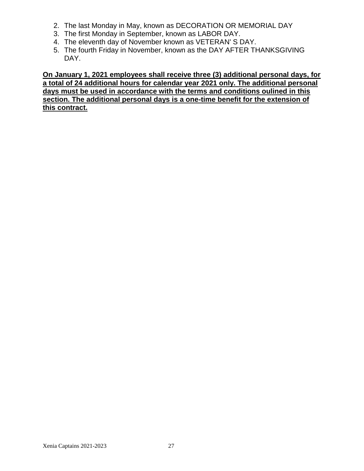- 2. The last Monday in May, known as DECORATION OR MEMORIAL DAY
- 3. The first Monday in September, known as LABOR DAY.
- 4. The eleventh day of November known as VETERAN' S DAY.
- 5. The fourth Friday in November, known as the DAY AFTER THANKSGIVING DAY.

**On January 1, 2021 employees shall receive three (3) additional personal days, for a total of 24 additional hours for calendar year 2021 only. The additional personal days must be used in accordance with the terms and conditions oulined in this section. The additional personal days is a one-time benefit for the extension of this contract.**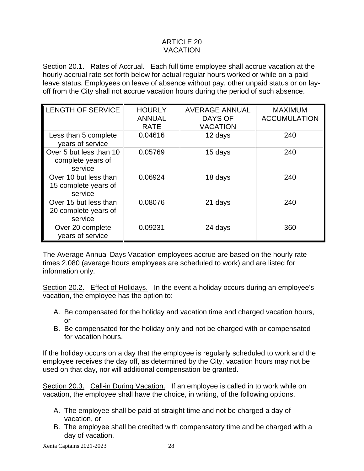# ARTICLE 20 VACATION

Section 20.1. Rates of Accrual. Each full time employee shall accrue vacation at the hourly accrual rate set forth below for actual regular hours worked or while on a paid leave status. Employees on leave of absence without pay, other unpaid status or on layoff from the City shall not accrue vacation hours during the period of such absence.

| <b>LENGTH OF SERVICE</b> | <b>HOURLY</b> | <b>AVERAGE ANNUAL</b> | <b>MAXIMUM</b>      |
|--------------------------|---------------|-----------------------|---------------------|
|                          | <b>ANNUAL</b> | <b>DAYS OF</b>        | <b>ACCUMULATION</b> |
|                          | <b>RATE</b>   | <b>VACATION</b>       |                     |
| Less than 5 complete     | 0.04616       | 12 days               | 240                 |
| years of service         |               |                       |                     |
| Over 5 but less than 10  | 0.05769       | 15 days               | 240                 |
| complete years of        |               |                       |                     |
| service                  |               |                       |                     |
| Over 10 but less than    | 0.06924       | 18 days               | 240                 |
| 15 complete years of     |               |                       |                     |
| service                  |               |                       |                     |
| Over 15 but less than    | 0.08076       | 21 days               | 240                 |
| 20 complete years of     |               |                       |                     |
| service                  |               |                       |                     |
| Over 20 complete         | 0.09231       | 24 days               | 360                 |
| years of service         |               |                       |                     |

The Average Annual Days Vacation employees accrue are based on the hourly rate times 2,080 (average hours employees are scheduled to work) and are listed for information only.

Section 20.2. Effect of Holidays. In the event a holiday occurs during an employee's vacation, the employee has the option to:

- A. Be compensated for the holiday and vacation time and charged vacation hours, or
- B. Be compensated for the holiday only and not be charged with or compensated for vacation hours.

If the holiday occurs on a day that the employee is regularly scheduled to work and the employee receives the day off, as determined by the City, vacation hours may not be used on that day, nor will additional compensation be granted.

Section 20.3. Call-in During Vacation. If an employee is called in to work while on vacation, the employee shall have the choice, in writing, of the following options.

- A. The employee shall be paid at straight time and not be charged a day of vacation, or
- B. The employee shall be credited with compensatory time and be charged with a day of vacation.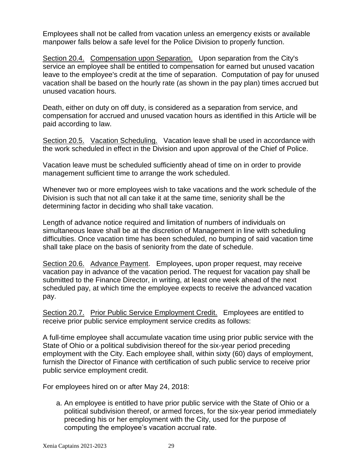Employees shall not be called from vacation unless an emergency exists or available manpower falls below a safe level for the Police Division to properly function.

Section 20.4. Compensation upon Separation. Upon separation from the City's service an employee shall be entitled to compensation for earned but unused vacation leave to the employee's credit at the time of separation. Computation of pay for unused vacation shall be based on the hourly rate (as shown in the pay plan) times accrued but unused vacation hours.

Death, either on duty on off duty, is considered as a separation from service, and compensation for accrued and unused vacation hours as identified in this Article will be paid according to law.

Section 20.5. Vacation Scheduling. Vacation leave shall be used in accordance with the work scheduled in effect in the Division and upon approval of the Chief of Police.

Vacation leave must be scheduled sufficiently ahead of time on in order to provide management sufficient time to arrange the work scheduled.

Whenever two or more employees wish to take vacations and the work schedule of the Division is such that not all can take it at the same time, seniority shall be the determining factor in deciding who shall take vacation.

Length of advance notice required and limitation of numbers of individuals on simultaneous leave shall be at the discretion of Management in line with scheduling difficulties. Once vacation time has been scheduled, no bumping of said vacation time shall take place on the basis of seniority from the date of schedule.

Section 20.6. Advance Payment. Employees, upon proper request, may receive vacation pay in advance of the vacation period. The request for vacation pay shall be submitted to the Finance Director, in writing, at least one week ahead of the next scheduled pay, at which time the employee expects to receive the advanced vacation pay.

Section 20.7. Prior Public Service Employment Credit. Employees are entitled to receive prior public service employment service credits as follows:

A full-time employee shall accumulate vacation time using prior public service with the State of Ohio or a political subdivision thereof for the six-year period preceding employment with the City. Each employee shall, within sixty (60) days of employment, furnish the Director of Finance with certification of such public service to receive prior public service employment credit.

For employees hired on or after May 24, 2018:

a. An employee is entitled to have prior public service with the State of Ohio or a political subdivision thereof, or armed forces, for the six-year period immediately preceding his or her employment with the City, used for the purpose of computing the employee's vacation accrual rate.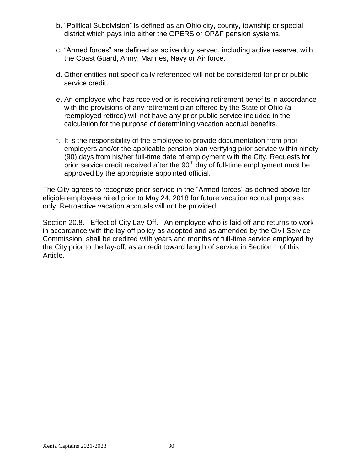- b. "Political Subdivision" is defined as an Ohio city, county, township or special district which pays into either the OPERS or OP&F pension systems.
- c. "Armed forces" are defined as active duty served, including active reserve, with the Coast Guard, Army, Marines, Navy or Air force.
- d. Other entities not specifically referenced will not be considered for prior public service credit.
- e. An employee who has received or is receiving retirement benefits in accordance with the provisions of any retirement plan offered by the State of Ohio (a reemployed retiree) will not have any prior public service included in the calculation for the purpose of determining vacation accrual benefits.
- f. It is the responsibility of the employee to provide documentation from prior employers and/or the applicable pension plan verifying prior service within ninety (90) days from his/her full-time date of employment with the City. Requests for prior service credit received after the  $90<sup>th</sup>$  day of full-time employment must be approved by the appropriate appointed official.

The City agrees to recognize prior service in the "Armed forces" as defined above for eligible employees hired prior to May 24, 2018 for future vacation accrual purposes only. Retroactive vacation accruals will not be provided.

Section 20.8. Effect of City Lay-Off. An employee who is laid off and returns to work in accordance with the lay-off policy as adopted and as amended by the Civil Service Commission, shall be credited with years and months of full-time service employed by the City prior to the lay-off, as a credit toward length of service in Section 1 of this Article.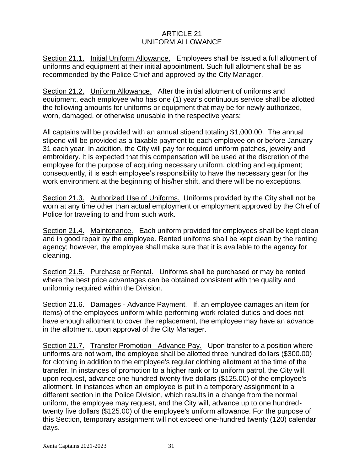# ARTICLE 21 UNIFORM ALLOWANCE

Section 21.1. Initial Uniform Allowance. Employees shall be issued a full allotment of uniforms and equipment at their initial appointment. Such full allotment shall be as recommended by the Police Chief and approved by the City Manager.

Section 21.2. Uniform Allowance. After the initial allotment of uniforms and equipment, each employee who has one (1) year's continuous service shall be allotted the following amounts for uniforms or equipment that may be for newly authorized, worn, damaged, or otherwise unusable in the respective years:

All captains will be provided with an annual stipend totaling \$1,000.00. The annual stipend will be provided as a taxable payment to each employee on or before January 31 each year. In addition, the City will pay for required uniform patches, jewelry and embroidery. It is expected that this compensation will be used at the discretion of the employee for the purpose of acquiring necessary uniform, clothing and equipment; consequently, it is each employee's responsibility to have the necessary gear for the work environment at the beginning of his/her shift, and there will be no exceptions.

Section 21.3. Authorized Use of Uniforms. Uniforms provided by the City shall not be worn at any time other than actual employment or employment approved by the Chief of Police for traveling to and from such work.

Section 21.4. Maintenance. Each uniform provided for employees shall be kept clean and in good repair by the employee. Rented uniforms shall be kept clean by the renting agency; however, the employee shall make sure that it is available to the agency for cleaning.

Section 21.5. Purchase or Rental. Uniforms shall be purchased or may be rented where the best price advantages can be obtained consistent with the quality and uniformity required within the Division.

Section 21.6. Damages - Advance Payment. If, an employee damages an item (or items) of the employees uniform while performing work related duties and does not have enough allotment to cover the replacement, the employee may have an advance in the allotment, upon approval of the City Manager.

Section 21.7. Transfer Promotion - Advance Pay. Upon transfer to a position where uniforms are not worn, the employee shall be allotted three hundred dollars (\$300.00) for clothing in addition to the employee's regular clothing allotment at the time of the transfer. In instances of promotion to a higher rank or to uniform patrol, the City will, upon request, advance one hundred-twenty five dollars (\$125.00) of the employee's allotment. In instances when an employee is put in a temporary assignment to a different section in the Police Division, which results in a change from the normal uniform, the employee may request, and the City will, advance up to one hundredtwenty five dollars (\$125.00) of the employee's uniform allowance. For the purpose of this Section, temporary assignment will not exceed one-hundred twenty (120) calendar days.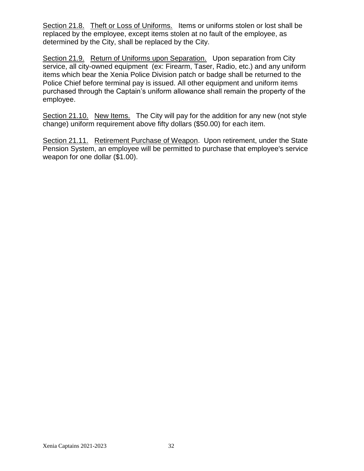Section 21.8. Theft or Loss of Uniforms. Items or uniforms stolen or lost shall be replaced by the employee, except items stolen at no fault of the employee, as determined by the City, shall be replaced by the City.

Section 21.9. Return of Uniforms upon Separation. Upon separation from City service, all city-owned equipment (ex: Firearm, Taser, Radio, etc.) and any uniform items which bear the Xenia Police Division patch or badge shall be returned to the Police Chief before terminal pay is issued. All other equipment and uniform items purchased through the Captain's uniform allowance shall remain the property of the employee.

Section 21.10. New Items. The City will pay for the addition for any new (not style change) uniform requirement above fifty dollars (\$50.00) for each item.

Section 21.11. Retirement Purchase of Weapon. Upon retirement, under the State Pension System, an employee will be permitted to purchase that employee's service weapon for one dollar (\$1.00).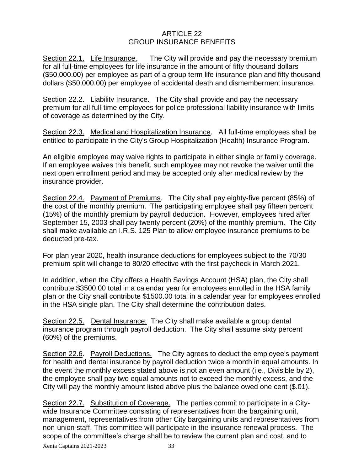## ARTICLE 22 GROUP INSURANCE BENEFITS

Section 22.1. Life Insurance. The City will provide and pay the necessary premium for all full-time employees for life insurance in the amount of fifty thousand dollars (\$50,000.00) per employee as part of a group term life insurance plan and fifty thousand dollars (\$50,000.00) per employee of accidental death and dismemberment insurance.

Section 22.2. Liabilitv Insurance. The City shall provide and pay the necessary premium for all full-time employees for police professional liability insurance with limits of coverage as determined by the City.

Section 22.3. Medical and Hospitalization Insurance. All full-time employees shall be entitled to participate in the City's Group Hospitalization (Health) Insurance Program.

An eligible employee may waive rights to participate in either single or family coverage. If an employee waives this benefit, such employee may not revoke the waiver until the next open enrollment period and may be accepted only after medical review by the insurance provider.

Section 22.4. Payment of Premiums. The City shall pay eighty-five percent (85%) of the cost of the monthly premium. The participating employee shall pay fifteen percent (15%) of the monthly premium by payroll deduction. However, employees hired after September 15, 2003 shall pay twenty percent (20%) of the monthly premium. The City shall make available an I.R.S. 125 Plan to allow employee insurance premiums to be deducted pre-tax.

For plan year 2020, health insurance deductions for employees subject to the 70/30 premium split will change to 80/20 effective with the first paycheck in March 2021.

In addition, when the City offers a Health Savings Account (HSA) plan, the City shall contribute \$3500.00 total in a calendar year for employees enrolled in the HSA family plan or the City shall contribute \$1500.00 total in a calendar year for employees enrolled in the HSA single plan. The City shall determine the contribution dates.

Section 22.5. Dental Insurance: The City shall make available a group dental insurance program through payroll deduction. The City shall assume sixty percent (60%) of the premiums.

Section 22.6. Payroll Deductions. The City agrees to deduct the employee's payment for health and dental insurance by payroll deduction twice a month in equal amounts. In the event the monthly excess stated above is not an even amount (i.e., Divisible by 2), the employee shall pay two equal amounts not to exceed the monthly excess, and the City will pay the monthly amount listed above plus the balance owed one cent (\$.01).

Section 22.7. Substitution of Coverage. The parties commit to participate in a Citywide Insurance Committee consisting of representatives from the bargaining unit, management, representatives from other City bargaining units and representatives from non-union staff. This committee will participate in the insurance renewal process. The scope of the committee's charge shall be to review the current plan and cost, and to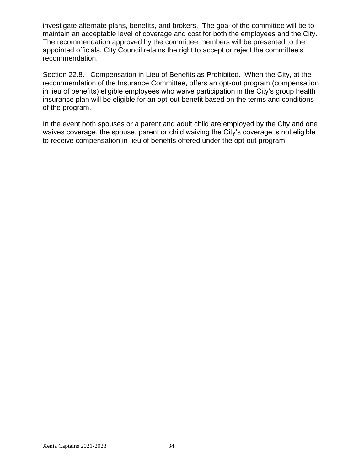investigate alternate plans, benefits, and brokers. The goal of the committee will be to maintain an acceptable level of coverage and cost for both the employees and the City. The recommendation approved by the committee members will be presented to the appointed officials. City Council retains the right to accept or reject the committee's recommendation.

Section 22.8. Compensation in Lieu of Benefits as Prohibited. When the City, at the recommendation of the Insurance Committee, offers an opt-out program (compensation in lieu of benefits) eligible employees who waive participation in the City's group health insurance plan will be eligible for an opt-out benefit based on the terms and conditions of the program.

In the event both spouses or a parent and adult child are employed by the City and one waives coverage, the spouse, parent or child waiving the City's coverage is not eligible to receive compensation in-lieu of benefits offered under the opt-out program.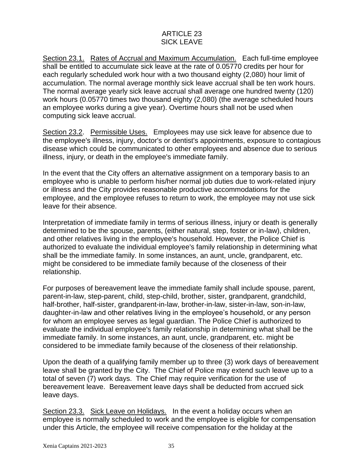# ARTICLE 23 SICK LEAVE

Section 23.1. Rates of Accrual and Maximum Accumulation. Each full-time employee shall be entitled to accumulate sick leave at the rate of 0.05770 credits per hour for each regularly scheduled work hour with a two thousand eighty (2,080) hour limit of accumulation. The normal average monthly sick leave accrual shall be ten work hours. The normal average yearly sick leave accrual shall average one hundred twenty (120) work hours (0.05770 times two thousand eighty (2,080) (the average scheduled hours an employee works during a give year). Overtime hours shall not be used when computing sick leave accrual.

Section 23.2. Permissible Uses. Employees may use sick leave for absence due to the employee's illness, injury, doctor's or dentist's appointments, exposure to contagious disease which could be communicated to other employees and absence due to serious illness, injury, or death in the employee's immediate family.

In the event that the City offers an alternative assignment on a temporary basis to an employee who is unable to perform his/her normal job duties due to work-related injury or illness and the City provides reasonable productive accommodations for the employee, and the employee refuses to return to work, the employee may not use sick leave for their absence.

Interpretation of immediate family in terms of serious illness, injury or death is generally determined to be the spouse, parents, (either natural, step, foster or in-law), children, and other relatives living in the employee's household. However, the Police Chief is authorized to evaluate the individual employee's family relationship in determining what shall be the immediate family. In some instances, an aunt, uncle, grandparent, etc. might be considered to be immediate family because of the closeness of their relationship.

For purposes of bereavement leave the immediate family shall include spouse, parent, parent-in-law, step-parent, child, step-child, brother, sister, grandparent, grandchild, half-brother, half-sister, grandparent-in-law, brother-in-law, sister-in-law, son-in-law, daughter-in-law and other relatives living in the employee's household, or any person for whom an employee serves as legal guardian. The Police Chief is authorized to evaluate the individual employee's family relationship in determining what shall be the immediate family. In some instances, an aunt, uncle, grandparent, etc. might be considered to be immediate family because of the closeness of their relationship.

Upon the death of a qualifying family member up to three (3) work days of bereavement leave shall be granted by the City. The Chief of Police may extend such leave up to a total of seven (7) work days. The Chief may require verification for the use of bereavement leave. Bereavement leave days shall be deducted from accrued sick leave days.

Section 23.3. Sick Leave on Holidays. In the event a holiday occurs when an employee is normally scheduled to work and the employee is eligible for compensation under this Article, the employee will receive compensation for the holiday at the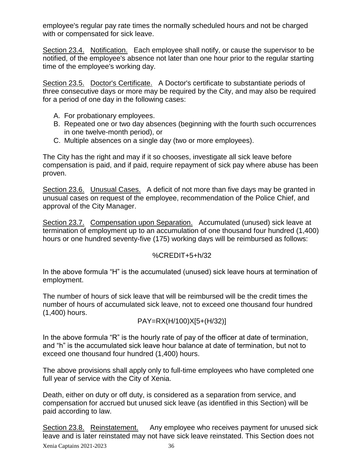employee's regular pay rate times the normally scheduled hours and not be charged with or compensated for sick leave.

Section 23.4. Notification. Each employee shall notify, or cause the supervisor to be notified, of the employee's absence not later than one hour prior to the regular starting time of the employee's working day.

Section 23.5. Doctor's Certificate. A Doctor's certificate to substantiate periods of three consecutive days or more may be required by the City, and may also be required for a period of one day in the following cases:

- A. For probationary employees.
- B. Repeated one or two day absences (beginning with the fourth such occurrences in one twelve-month period), or
- C. Multiple absences on a single day (two or more employees).

The City has the right and may if it so chooses, investigate all sick leave before compensation is paid, and if paid, require repayment of sick pay where abuse has been proven.

Section 23.6. Unusual Cases. A deficit of not more than five days may be granted in unusual cases on request of the employee, recommendation of the Police Chief, and approval of the City Manager.

Section 23.7. Compensation upon Separation. Accumulated (unused) sick leave at termination of employment up to an accumulation of one thousand four hundred (1,400) hours or one hundred seventy-five (175) working days will be reimbursed as follows:

# %CREDIT+5+h/32

In the above formula "H" is the accumulated (unused) sick leave hours at termination of employment.

The number of hours of sick leave that will be reimbursed will be the credit times the number of hours of accumulated sick leave, not to exceed one thousand four hundred (1,400) hours.

$$
PAY=RX(H/100)X[5+(H/32)]
$$

In the above formula "R" is the hourly rate of pay of the officer at date of termination, and "h" is the accumulated sick leave hour balance at date of termination, but not to exceed one thousand four hundred (1,400) hours.

The above provisions shall apply only to full-time employees who have completed one full year of service with the City of Xenia.

Death, either on duty or off duty, is considered as a separation from service, and compensation for accrued but unused sick leave (as identified in this Section) will be paid according to law.

Section 23.8. Reinstatement. Any employee who receives payment for unused sick leave and is later reinstated may not have sick leave reinstated. This Section does not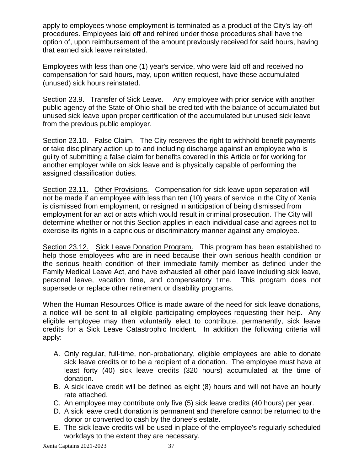apply to employees whose employment is terminated as a product of the City's lay-off procedures. Employees laid off and rehired under those procedures shall have the option of, upon reimbursement of the amount previously received for said hours, having that earned sick leave reinstated.

Employees with less than one (1) year's service, who were laid off and received no compensation for said hours, may, upon written request, have these accumulated (unused) sick hours reinstated.

Section 23.9. Transfer of Sick Leave. Any employee with prior service with another public agency of the State of Ohio shall be credited with the balance of accumulated but unused sick leave upon proper certification of the accumulated but unused sick leave from the previous public employer.

Section 23.10. False Claim. The City reserves the right to withhold benefit payments or take disciplinary action up to and including discharge against an employee who is guilty of submitting a false claim for benefits covered in this Article or for working for another employer while on sick leave and is physically capable of performing the assigned classification duties.

Section 23.11. Other Provisions. Compensation for sick leave upon separation will not be made if an employee with less than ten (10) years of service in the City of Xenia is dismissed from employment, or resigned in anticipation of being dismissed from employment for an act or acts which would result in criminal prosecution. The City will determine whether or not this Section applies in each individual case and agrees not to exercise its rights in a capricious or discriminatory manner against any employee.

Section 23.12. Sick Leave Donation Program. This program has been established to help those employees who are in need because their own serious health condition or the serious health condition of their immediate family member as defined under the Family Medical Leave Act, and have exhausted all other paid leave including sick leave, personal leave, vacation time, and compensatory time. This program does not supersede or replace other retirement or disability programs.

When the Human Resources Office is made aware of the need for sick leave donations, a notice will be sent to all eligible participating employees requesting their help. Any eligible employee may then voluntarily elect to contribute, permanently, sick leave credits for a Sick Leave Catastrophic Incident. In addition the following criteria will apply:

- A. Only regular, full-time, non-probationary, eligible employees are able to donate sick leave credits or to be a recipient of a donation. The employee must have at least forty (40) sick leave credits (320 hours) accumulated at the time of donation.
- B. A sick leave credit will be defined as eight (8) hours and will not have an hourly rate attached.
- C. An employee may contribute only five (5) sick leave credits (40 hours) per year.
- D. A sick leave credit donation is permanent and therefore cannot be returned to the donor or converted to cash by the donee's estate.
- E. The sick leave credits will be used in place of the employee's regularly scheduled workdays to the extent they are necessary.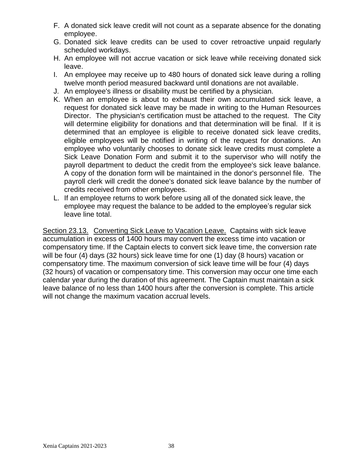- F. A donated sick leave credit will not count as a separate absence for the donating employee.
- G. Donated sick leave credits can be used to cover retroactive unpaid regularly scheduled workdays.
- H. An employee will not accrue vacation or sick leave while receiving donated sick leave.
- I. An employee may receive up to 480 hours of donated sick leave during a rolling twelve month period measured backward until donations are not available.
- J. An employee's illness or disability must be certified by a physician.
- K. When an employee is about to exhaust their own accumulated sick leave, a request for donated sick leave may be made in writing to the Human Resources Director. The physician's certification must be attached to the request. The City will determine eligibility for donations and that determination will be final. If it is determined that an employee is eligible to receive donated sick leave credits, eligible employees will be notified in writing of the request for donations. An employee who voluntarily chooses to donate sick leave credits must complete a Sick Leave Donation Form and submit it to the supervisor who will notify the payroll department to deduct the credit from the employee's sick leave balance. A copy of the donation form will be maintained in the donor's personnel file. The payroll clerk will credit the donee's donated sick leave balance by the number of credits received from other employees.
- L. If an employee returns to work before using all of the donated sick leave, the employee may request the balance to be added to the employee's regular sick leave line total.

Section 23.13. Converting Sick Leave to Vacation Leave. Captains with sick leave accumulation in excess of 1400 hours may convert the excess time into vacation or compensatory time. If the Captain elects to convert sick leave time, the conversion rate will be four (4) days (32 hours) sick leave time for one (1) day (8 hours) vacation or compensatory time. The maximum conversion of sick leave time will be four (4) days (32 hours) of vacation or compensatory time. This conversion may occur one time each calendar year during the duration of this agreement. The Captain must maintain a sick leave balance of no less than 1400 hours after the conversion is complete. This article will not change the maximum vacation accrual levels.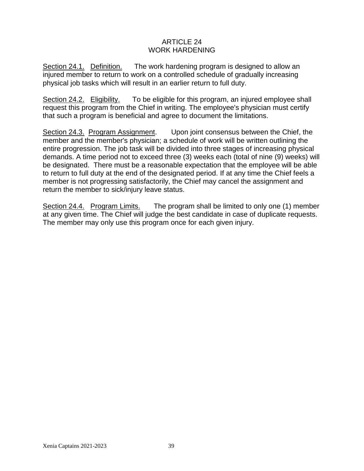# ARTICLE 24 WORK HARDENING

Section 24.1. Definition. The work hardening program is designed to allow an injured member to return to work on a controlled schedule of gradually increasing physical job tasks which will result in an earlier return to full duty.

Section 24.2. Eligibility. To be eligible for this program, an injured employee shall request this program from the Chief in writing. The employee's physician must certify that such a program is beneficial and agree to document the limitations.

Section 24.3. Program Assignment. Upon joint consensus between the Chief, the member and the member's physician; a schedule of work will be written outlining the entire progression. The job task will be divided into three stages of increasing physical demands. A time period not to exceed three (3) weeks each (total of nine (9) weeks) will be designated. There must be a reasonable expectation that the employee will be able to return to full duty at the end of the designated period. If at any time the Chief feels a member is not progressing satisfactorily, the Chief may cancel the assignment and return the member to sick/injury leave status.

Section 24.4. Program Limits. The program shall be limited to only one (1) member at any given time. The Chief will judge the best candidate in case of duplicate requests. The member may only use this program once for each given injury.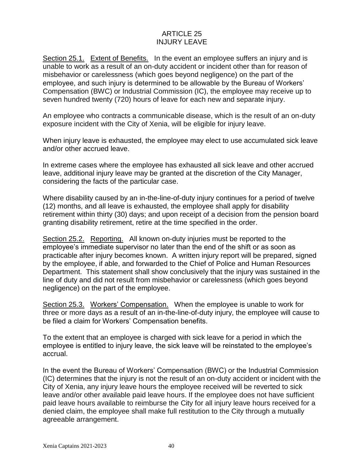# ARTICLE 25 INJURY LEAVE

Section 25.1. Extent of Benefits. In the event an employee suffers an injury and is unable to work as a result of an on-duty accident or incident other than for reason of misbehavior or carelessness (which goes beyond negligence) on the part of the employee, and such injury is determined to be allowable by the Bureau of Workers' Compensation (BWC) or Industrial Commission (IC), the employee may receive up to seven hundred twenty (720) hours of leave for each new and separate injury.

An employee who contracts a communicable disease, which is the result of an on-duty exposure incident with the City of Xenia, will be eligible for injury leave.

When injury leave is exhausted, the employee may elect to use accumulated sick leave and/or other accrued leave.

In extreme cases where the employee has exhausted all sick leave and other accrued leave, additional injury leave may be granted at the discretion of the City Manager, considering the facts of the particular case.

Where disability caused by an in-the-line-of-duty injury continues for a period of twelve (12) months, and all leave is exhausted, the employee shall apply for disability retirement within thirty (30) days; and upon receipt of a decision from the pension board granting disability retirement, retire at the time specified in the order.

Section 25.2. Reporting. All known on-duty injuries must be reported to the employee's immediate supervisor no later than the end of the shift or as soon as practicable after injury becomes known. A written injury report will be prepared, signed by the employee, if able, and forwarded to the Chief of Police and Human Resources Department. This statement shall show conclusively that the injury was sustained in the line of duty and did not result from misbehavior or carelessness (which goes beyond negligence) on the part of the employee.

Section 25.3. Workers' Compensation. When the employee is unable to work for three or more days as a result of an in-the-line-of-duty injury, the employee will cause to be filed a claim for Workers' Compensation benefits.

To the extent that an employee is charged with sick leave for a period in which the employee is entitled to injury leave, the sick leave will be reinstated to the employee's accrual.

In the event the Bureau of Workers' Compensation (BWC) or the Industrial Commission (IC) determines that the injury is not the result of an on-duty accident or incident with the City of Xenia, any injury leave hours the employee received will be reverted to sick leave and/or other available paid leave hours. If the employee does not have sufficient paid leave hours available to reimburse the City for all injury leave hours received for a denied claim, the employee shall make full restitution to the City through a mutually agreeable arrangement.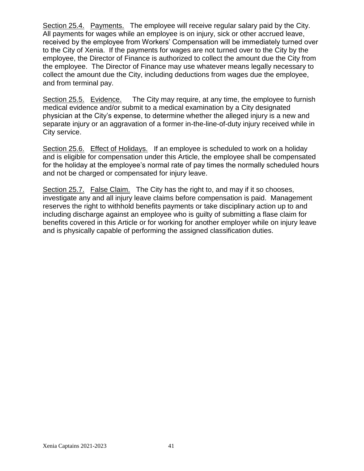Section 25.4. Payments. The employee will receive regular salary paid by the City. All payments for wages while an employee is on injury, sick or other accrued leave, received by the employee from Workers' Compensation will be immediately turned over to the City of Xenia. If the payments for wages are not turned over to the City by the employee, the Director of Finance is authorized to collect the amount due the City from the employee. The Director of Finance may use whatever means legally necessary to collect the amount due the City, including deductions from wages due the employee, and from terminal pay.

Section 25.5. Evidence. The City may require, at any time, the employee to furnish medical evidence and/or submit to a medical examination by a City designated physician at the City's expense, to determine whether the alleged injury is a new and separate injury or an aggravation of a former in-the-line-of-duty injury received while in City service.

Section 25.6. Effect of Holidays. If an employee is scheduled to work on a holiday and is eligible for compensation under this Article, the employee shall be compensated for the holiday at the employee's normal rate of pay times the normally scheduled hours and not be charged or compensated for injury leave.

Section 25.7. False Claim. The City has the right to, and may if it so chooses, investigate any and all injury leave claims before compensation is paid. Management reserves the right to withhold benefits payments or take disciplinary action up to and including discharge against an employee who is guilty of submitting a flase claim for benefits covered in this Article or for working for another employer while on injury leave and is physically capable of performing the assigned classification duties.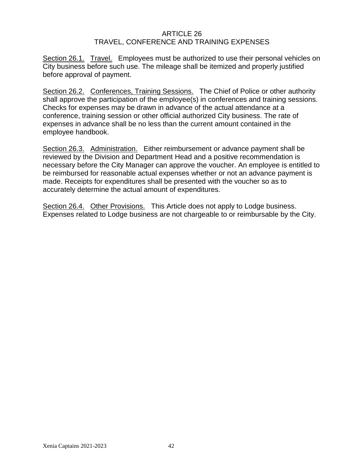#### ARTICLE 26 TRAVEL, CONFERENCE AND TRAINING EXPENSES

Section 26.1. Travel. Employees must be authorized to use their personal vehicles on City business before such use. The mileage shall be itemized and properly justified before approval of payment.

Section 26.2. Conferences, Training Sessions. The Chief of Police or other authority shall approve the participation of the employee(s) in conferences and training sessions. Checks for expenses may be drawn in advance of the actual attendance at a conference, training session or other official authorized City business. The rate of expenses in advance shall be no less than the current amount contained in the employee handbook.

Section 26.3. Administration. Either reimbursement or advance payment shall be reviewed by the Division and Department Head and a positive recommendation is necessary before the City Manager can approve the voucher. An employee is entitled to be reimbursed for reasonable actual expenses whether or not an advance payment is made. Receipts for expenditures shall be presented with the voucher so as to accurately determine the actual amount of expenditures.

Section 26.4. Other Provisions. This Article does not apply to Lodge business. Expenses related to Lodge business are not chargeable to or reimbursable by the City.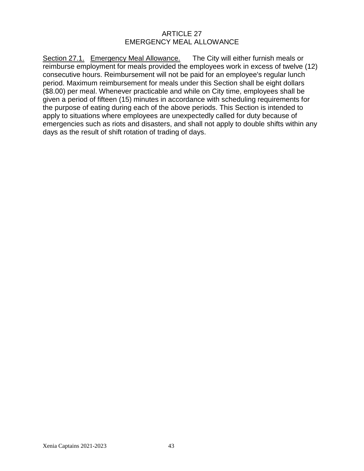#### ARTICLE 27 EMERGENCY MEAL ALLOWANCE

Section 27.1. Emergency Meal Allowance. The City will either furnish meals or reimburse employment for meals provided the employees work in excess of twelve (12) consecutive hours. Reimbursement will not be paid for an employee's regular lunch period. Maximum reimbursement for meals under this Section shall be eight dollars (\$8.00) per meal. Whenever practicable and while on City time, employees shall be given a period of fifteen (15) minutes in accordance with scheduling requirements for the purpose of eating during each of the above periods. This Section is intended to apply to situations where employees are unexpectedly called for duty because of emergencies such as riots and disasters, and shall not apply to double shifts within any days as the result of shift rotation of trading of days.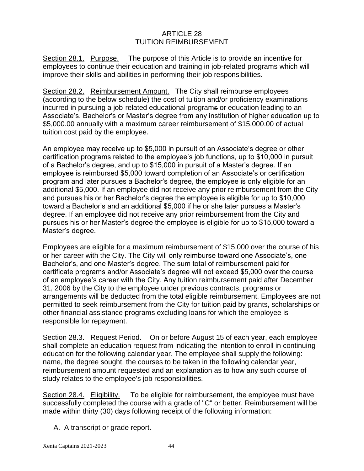# ARTICLE 28 TUITION REIMBURSEMENT

Section 28.1. Purpose. The purpose of this Article is to provide an incentive for employees to continue their education and training in job-related programs which will improve their skills and abilities in performing their job responsibilities.

Section 28.2. Reimbursement Amount. The City shall reimburse employees (according to the below schedule) the cost of tuition and/or proficiency examinations incurred in pursuing a job-related educational programs or education leading to an Associate's, Bachelor's or Master's degree from any institution of higher education up to \$5,000.00 annually with a maximum career reimbursement of \$15,000.00 of actual tuition cost paid by the employee.

An employee may receive up to \$5,000 in pursuit of an Associate's degree or other certification programs related to the employee's job functions, up to \$10,000 in pursuit of a Bachelor's degree, and up to \$15,000 in pursuit of a Master's degree. If an employee is reimbursed \$5,000 toward completion of an Associate's or certification program and later pursues a Bachelor's degree, the employee is only eligible for an additional \$5,000. If an employee did not receive any prior reimbursement from the City and pursues his or her Bachelor's degree the employee is eligible for up to \$10,000 toward a Bachelor's and an additional \$5,000 if he or she later pursues a Master's degree. If an employee did not receive any prior reimbursement from the City and pursues his or her Master's degree the employee is eligible for up to \$15,000 toward a Master's degree.

Employees are eligible for a maximum reimbursement of \$15,000 over the course of his or her career with the City. The City will only reimburse toward one Associate's, one Bachelor's, and one Master's degree. The sum total of reimbursement paid for certificate programs and/or Associate's degree will not exceed \$5,000 over the course of an employee's career with the City. Any tuition reimbursement paid after December 31, 2006 by the City to the employee under previous contracts, programs or arrangements will be deducted from the total eligible reimbursement. Employees are not permitted to seek reimbursement from the City for tuition paid by grants, scholarships or other financial assistance programs excluding loans for which the employee is responsible for repayment.

Section 28.3. Request Period. On or before August 15 of each year, each employee shall complete an education request from indicating the intention to enroll in continuing education for the following calendar year. The employee shall supply the following: name, the degree sought, the courses to be taken in the following calendar year, reimbursement amount requested and an explanation as to how any such course of study relates to the employee's job responsibilities.

Section 28.4. Eligibility. To be eligible for reimbursement, the employee must have successfully completed the course with a grade of "C" or better. Reimbursement will be made within thirty (30) days following receipt of the following information:

A. A transcript or grade report.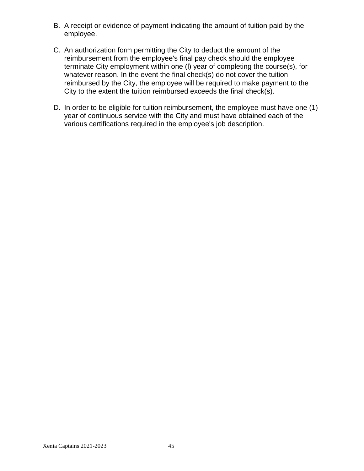- B. A receipt or evidence of payment indicating the amount of tuition paid by the employee.
- C. An authorization form permitting the City to deduct the amount of the reimbursement from the employee's final pay check should the employee terminate City employment within one (l) year of completing the course(s), for whatever reason. In the event the final check(s) do not cover the tuition reimbursed by the City, the employee will be required to make payment to the City to the extent the tuition reimbursed exceeds the final check(s).
- D. In order to be eligible for tuition reimbursement, the employee must have one (1) year of continuous service with the City and must have obtained each of the various certifications required in the employee's job description.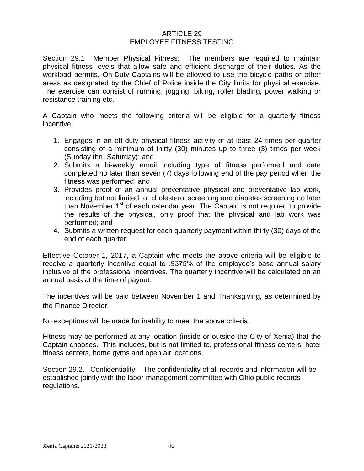#### ARTICLE 29 EMPLOYEE FITNESS TESTING

Section 29.1 Member Physical Fitness: The members are required to maintain physical fitness levels that allow safe and efficient discharge of their duties. As the workload permits, On-Duty Captains will be allowed to use the bicycle paths or other areas as designated by the Chief of Police inside the City limits for physical exercise. The exercise can consist of running, jogging, biking, roller blading, power walking or resistance training etc.

A Captain who meets the following criteria will be eligible for a quarterly fitness incentive:

- 1. Engages in an off-duty physical fitness activity of at least 24 times per quarter consisting of a minimum of thirty (30) minutes up to three (3) times per week (Sunday thru Saturday); and
- 2. Submits a bi-weekly email including type of fitness performed and date completed no later than seven (7) days following end of the pay period when the fitness was performed; and
- 3. Provides proof of an annual preventative physical and preventative lab work, including but not limited to, cholesterol screening and diabetes screening no later than November 1<sup>st</sup> of each calendar year. The Captain is not required to provide the results of the physical, only proof that the physical and lab work was performed; and
- 4. Submits a written request for each quarterly payment within thirty (30) days of the end of each quarter.

Effective October 1, 2017, a Captain who meets the above criteria will be eligible to receive a quarterly incentive equal to .9375% of the employee's base annual salary inclusive of the professional incentives. The quarterly incentive will be calculated on an annual basis at the time of payout.

The incentives will be paid between November 1 and Thanksgiving, as determined by the Finance Director.

No exceptions will be made for inability to meet the above criteria.

Fitness may be performed at any location (inside or outside the City of Xenia) that the Captain chooses. This includes, but is not limited to, professional fitness centers, hotel fitness centers, home gyms and open air locations.

Section 29.2. Confidentiality. The confidentiality of all records and information will be established jointly with the labor-management committee with Ohio public records regulations.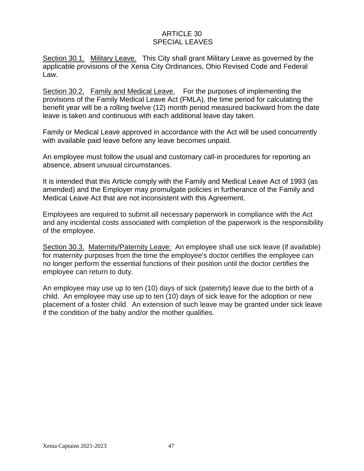# ARTICLE 30 SPECIAL LEAVES

Section 30.1. Military Leave. This City shall grant Military Leave as governed by the applicable provisions of the Xenia City Ordinances, Ohio Revised Code and Federal Law.

Section 30.2. Family and Medical Leave. For the purposes of implementing the provisions of the Family Medical Leave Act (FMLA), the time period for calculating the benefit year will be a rolling twelve (12) month period measured backward from the date leave is taken and continuous with each additional leave day taken.

Family or Medical Leave approved in accordance with the Act will be used concurrently with available paid leave before any leave becomes unpaid.

An employee must follow the usual and customary call-in procedures for reporting an absence, absent unusual circumstances.

It is intended that this Article comply with the Family and Medical Leave Act of 1993 (as amended) and the Employer may promulgate policies in furtherance of the Family and Medical Leave Act that are not inconsistent with this Agreement.

Employees are required to submit all necessary paperwork in compliance with the Act and any incidental costs associated with completion of the paperwork is the responsibility of the employee.

Section 30.3. Maternity/Paternity Leave: An employee shall use sick leave (if available) for maternity purposes from the time the employee's doctor certifies the employee can no longer perform the essential functions of their position until the doctor certifies the employee can return to duty.

An employee may use up to ten (10) days of sick (paternity) leave due to the birth of a child. An employee may use up to ten (10) days of sick leave for the adoption or new placement of a foster child. An extension of such leave may be granted under sick leave if the condition of the baby and/or the mother qualifies.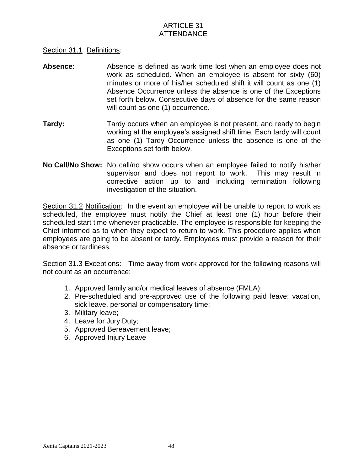# ARTICLE 31 **ATTENDANCE**

#### Section 31.1 Definitions:

- **Absence:** Absence is defined as work time lost when an employee does not work as scheduled. When an employee is absent for sixty (60) minutes or more of his/her scheduled shift it will count as one (1) Absence Occurrence unless the absence is one of the Exceptions set forth below. Consecutive days of absence for the same reason will count as one (1) occurrence.
- **Tardy:** Tardy occurs when an employee is not present, and ready to begin working at the employee's assigned shift time. Each tardy will count as one (1) Tardy Occurrence unless the absence is one of the Exceptions set forth below.
- **No Call/No Show:** No call/no show occurs when an employee failed to notify his/her supervisor and does not report to work. This may result in corrective action up to and including termination following investigation of the situation.

Section 31.2 Notification:In the event an employee will be unable to report to work as scheduled, the employee must notify the Chief at least one (1) hour before their scheduled start time whenever practicable. The employee is responsible for keeping the Chief informed as to when they expect to return to work. This procedure applies when employees are going to be absent or tardy. Employees must provide a reason for their absence or tardiness.

Section 31.3 Exceptions: Time away from work approved for the following reasons will not count as an occurrence:

- 1. Approved family and/or medical leaves of absence (FMLA);
- 2. Pre-scheduled and pre-approved use of the following paid leave: vacation, sick leave, personal or compensatory time;
- 3. Military leave;
- 4. Leave for Jury Duty;
- 5. Approved Bereavement leave;
- 6. Approved Injury Leave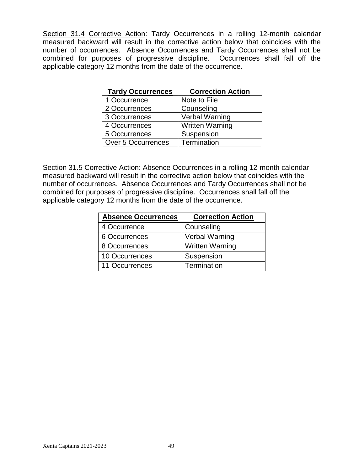Section 31.4 Corrective Action: Tardy Occurrences in a rolling 12-month calendar measured backward will result in the corrective action below that coincides with the number of occurrences. Absence Occurrences and Tardy Occurrences shall not be combined for purposes of progressive discipline. Occurrences shall fall off the applicable category 12 months from the date of the occurrence.

| <b>Tardy Occurrences</b>  | <b>Correction Action</b> |
|---------------------------|--------------------------|
| 1 Occurrence              | Note to File             |
| 2 Occurrences             | Counseling               |
| 3 Occurrences             | <b>Verbal Warning</b>    |
| 4 Occurrences             | <b>Written Warning</b>   |
| 5 Occurrences             | Suspension               |
| <b>Over 5 Occurrences</b> | Termination              |

Section 31.5 Corrective Action: Absence Occurrences in a rolling 12-month calendar measured backward will result in the corrective action below that coincides with the number of occurrences. Absence Occurrences and Tardy Occurrences shall not be combined for purposes of progressive discipline. Occurrences shall fall off the applicable category 12 months from the date of the occurrence.

| <b>Absence Occurrences</b> | <b>Correction Action</b> |
|----------------------------|--------------------------|
| 4 Occurrence               | Counseling               |
| 6 Occurrences              | <b>Verbal Warning</b>    |
| 8 Occurrences              | <b>Written Warning</b>   |
| 10 Occurrences             | Suspension               |
| 11 Occurrences             | Termination              |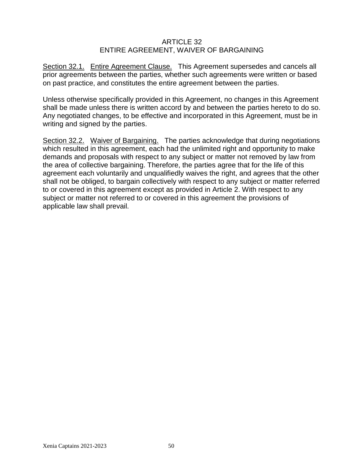#### ARTICLE 32 ENTIRE AGREEMENT, WAIVER OF BARGAINING

Section 32.1. Entire Agreement Clause. This Agreement supersedes and cancels all prior agreements between the parties, whether such agreements were written or based on past practice, and constitutes the entire agreement between the parties.

Unless otherwise specifically provided in this Agreement, no changes in this Agreement shall be made unless there is written accord by and between the parties hereto to do so. Any negotiated changes, to be effective and incorporated in this Agreement, must be in writing and signed by the parties.

Section 32.2. Waiver of Bargaining. The parties acknowledge that during negotiations which resulted in this agreement, each had the unlimited right and opportunity to make demands and proposals with respect to any subject or matter not removed by law from the area of collective bargaining. Therefore, the parties agree that for the life of this agreement each voluntarily and unqualifiedly waives the right, and agrees that the other shall not be obliged, to bargain collectively with respect to any subject or matter referred to or covered in this agreement except as provided in Article 2. With respect to any subject or matter not referred to or covered in this agreement the provisions of applicable law shall prevail.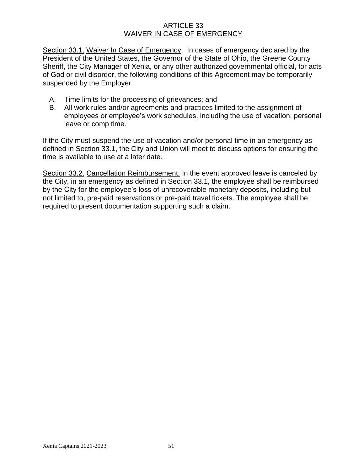#### ARTICLE 33 WAIVER IN CASE OF EMERGENCY

Section 33.1. Waiver In Case of Emergency: In cases of emergency declared by the President of the United States, the Governor of the State of Ohio, the Greene County Sheriff, the City Manager of Xenia, or any other authorized governmental official, for acts of God or civil disorder, the following conditions of this Agreement may be temporarily suspended by the Employer:

- A. Time limits for the processing of grievances; and
- B. All work rules and/or agreements and practices limited to the assignment of employees or employee's work schedules, including the use of vacation, personal leave or comp time.

If the City must suspend the use of vacation and/or personal time in an emergency as defined in Section 33.1, the City and Union will meet to discuss options for ensuring the time is available to use at a later date.

Section 33.2. Cancellation Reimbursement: In the event approved leave is canceled by the City, in an emergency as defined in Section 33.1, the employee shall be reimbursed by the City for the employee's loss of unrecoverable monetary deposits, including but not limited to, pre-paid reservations or pre-paid travel tickets. The employee shall be required to present documentation supporting such a claim.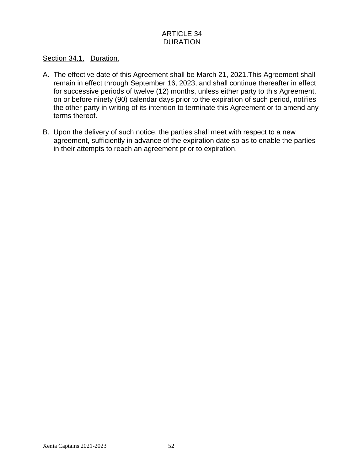# ARTICLE 34 DURATION

### Section 34.1. Duration.

- A. The effective date of this Agreement shall be March 21, 2021.This Agreement shall remain in effect through September 16, 2023, and shall continue thereafter in effect for successive periods of twelve (12) months, unless either party to this Agreement, on or before ninety (90) calendar days prior to the expiration of such period, notifies the other party in writing of its intention to terminate this Agreement or to amend any terms thereof.
- B. Upon the delivery of such notice, the parties shall meet with respect to a new agreement, sufficiently in advance of the expiration date so as to enable the parties in their attempts to reach an agreement prior to expiration.